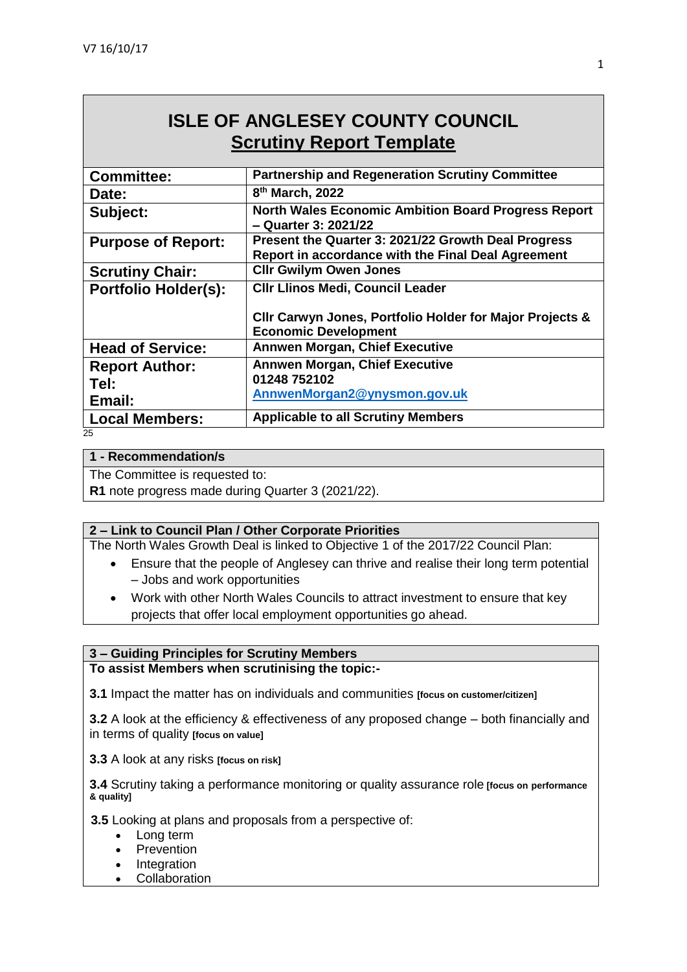# **ISLE OF ANGLESEY COUNTY COUNCIL Scrutiny Report Template**

| <b>Partnership and Regeneration Scrutiny Committee</b>                                                    |
|-----------------------------------------------------------------------------------------------------------|
| 8 <sup>th</sup> March, 2022                                                                               |
| <b>North Wales Economic Ambition Board Progress Report</b><br>- Quarter 3: 2021/22                        |
| Present the Quarter 3: 2021/22 Growth Deal Progress<br>Report in accordance with the Final Deal Agreement |
| <b>Clir Gwilym Owen Jones</b>                                                                             |
| <b>CIIr Llinos Medi, Council Leader</b>                                                                   |
| CIIr Carwyn Jones, Portfolio Holder for Major Projects &<br><b>Economic Development</b>                   |
| <b>Annwen Morgan, Chief Executive</b>                                                                     |
| <b>Annwen Morgan, Chief Executive</b><br>01248 752102<br>AnnwenMorgan2@ynysmon.gov.uk                     |
| <b>Applicable to all Scrutiny Members</b>                                                                 |
|                                                                                                           |

#### 25

#### **1 - Recommendation/s**

The Committee is requested to:

**R1** note progress made during Quarter 3 (2021/22).

#### **2 – Link to Council Plan / Other Corporate Priorities**

The North Wales Growth Deal is linked to Objective 1 of the 2017/22 Council Plan:

- Ensure that the people of Anglesey can thrive and realise their long term potential – Jobs and work opportunities
- Work with other North Wales Councils to attract investment to ensure that key projects that offer local employment opportunities go ahead.

#### **3 – Guiding Principles for Scrutiny Members**

**To assist Members when scrutinising the topic:-**

**3.1** Impact the matter has on individuals and communities **[focus on customer/citizen]**

**3.2** A look at the efficiency & effectiveness of any proposed change – both financially and in terms of quality **[focus on value]**

**3.3** A look at any risks **[focus on risk]** 

**3.4** Scrutiny taking a performance monitoring or quality assurance role **[focus on performance & quality]**

**3.5** Looking at plans and proposals from a perspective of:

- Long term
- Prevention
- Integration
- **Collaboration**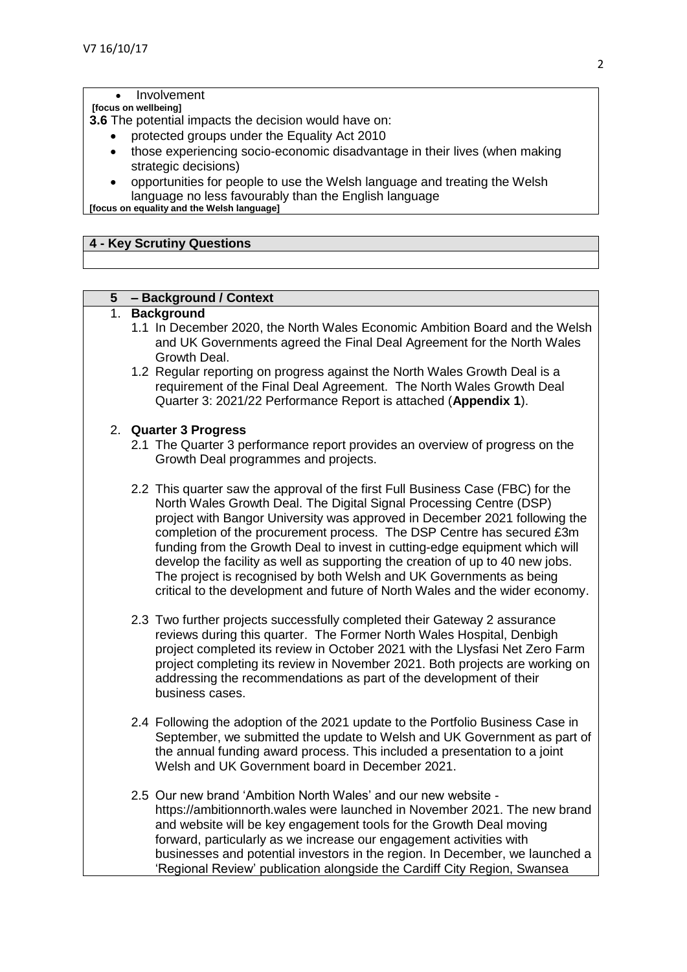#### Involvement

#### **[focus on wellbeing]**

**3.6** The potential impacts the decision would have on:

- protected groups under the Equality Act 2010
- those experiencing socio-economic disadvantage in their lives (when making strategic decisions)
- opportunities for people to use the Welsh language and treating the Welsh language no less favourably than the English language

**[focus on equality and the Welsh language]**

### **4 - Key Scrutiny Questions**

## **5 – Background / Context**

#### 1. **Background**

- 1.1 In December 2020, the North Wales Economic Ambition Board and the Welsh and UK Governments agreed the Final Deal Agreement for the North Wales Growth Deal.
- 1.2 Regular reporting on progress against the North Wales Growth Deal is a requirement of the Final Deal Agreement. The North Wales Growth Deal Quarter 3: 2021/22 Performance Report is attached (**Appendix 1**).

#### 2. **Quarter 3 Progress**

- 2.1 The Quarter 3 performance report provides an overview of progress on the Growth Deal programmes and projects.
- 2.2 This quarter saw the approval of the first Full Business Case (FBC) for the North Wales Growth Deal. The Digital Signal Processing Centre (DSP) project with Bangor University was approved in December 2021 following the completion of the procurement process. The DSP Centre has secured £3m funding from the Growth Deal to invest in cutting-edge equipment which will develop the facility as well as supporting the creation of up to 40 new jobs. The project is recognised by both Welsh and UK Governments as being critical to the development and future of North Wales and the wider economy.
- 2.3 Two further projects successfully completed their Gateway 2 assurance reviews during this quarter. The Former North Wales Hospital, Denbigh project completed its review in October 2021 with the Llysfasi Net Zero Farm project completing its review in November 2021. Both projects are working on addressing the recommendations as part of the development of their business cases.
- 2.4 Following the adoption of the 2021 update to the Portfolio Business Case in September, we submitted the update to Welsh and UK Government as part of the annual funding award process. This included a presentation to a joint Welsh and UK Government board in December 2021.
- 2.5 Our new brand 'Ambition North Wales' and our new website https://ambitionnorth.wales were launched in November 2021. The new brand and website will be key engagement tools for the Growth Deal moving forward, particularly as we increase our engagement activities with businesses and potential investors in the region. In December, we launched a 'Regional Review' publication alongside the Cardiff City Region, Swansea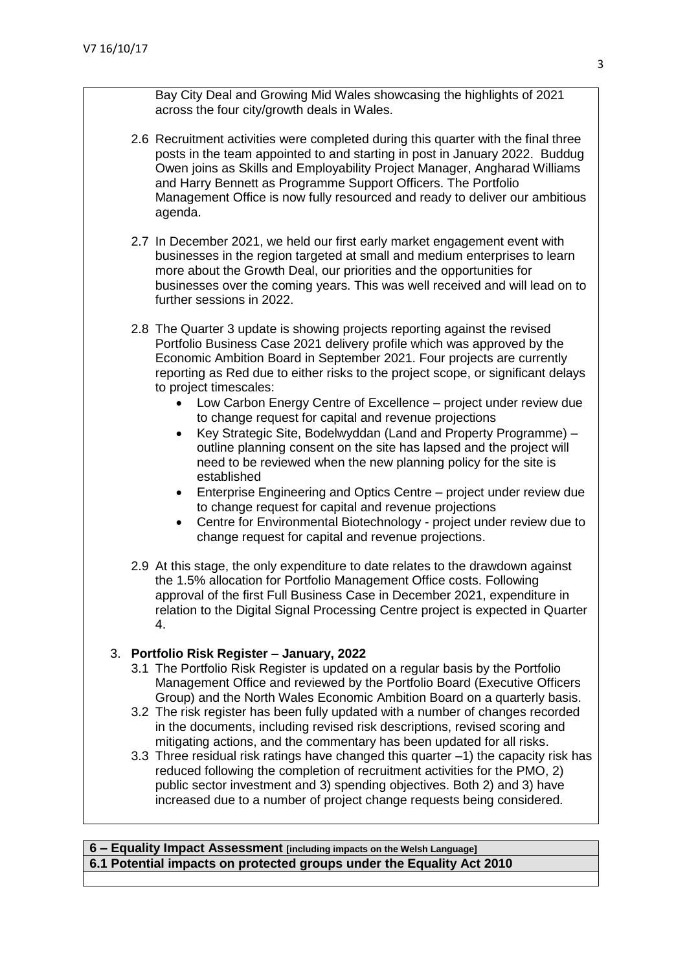Bay City Deal and Growing Mid Wales showcasing the highlights of 2021 across the four city/growth deals in Wales.

- 2.6 Recruitment activities were completed during this quarter with the final three posts in the team appointed to and starting in post in January 2022. Buddug Owen joins as Skills and Employability Project Manager, Angharad Williams and Harry Bennett as Programme Support Officers. The Portfolio Management Office is now fully resourced and ready to deliver our ambitious agenda.
- 2.7 In December 2021, we held our first early market engagement event with businesses in the region targeted at small and medium enterprises to learn more about the Growth Deal, our priorities and the opportunities for businesses over the coming years. This was well received and will lead on to further sessions in 2022.
- 2.8 The Quarter 3 update is showing projects reporting against the revised Portfolio Business Case 2021 delivery profile which was approved by the Economic Ambition Board in September 2021. Four projects are currently reporting as Red due to either risks to the project scope, or significant delays to project timescales:
	- Low Carbon Energy Centre of Excellence project under review due to change request for capital and revenue projections
	- Key Strategic Site, Bodelwyddan (Land and Property Programme) outline planning consent on the site has lapsed and the project will need to be reviewed when the new planning policy for the site is established
	- Enterprise Engineering and Optics Centre project under review due to change request for capital and revenue projections
	- Centre for Environmental Biotechnology project under review due to change request for capital and revenue projections.
- 2.9 At this stage, the only expenditure to date relates to the drawdown against the 1.5% allocation for Portfolio Management Office costs. Following approval of the first Full Business Case in December 2021, expenditure in relation to the Digital Signal Processing Centre project is expected in Quarter 4.

# 3. **Portfolio Risk Register – January, 2022**

- 3.1 The Portfolio Risk Register is updated on a regular basis by the Portfolio Management Office and reviewed by the Portfolio Board (Executive Officers Group) and the North Wales Economic Ambition Board on a quarterly basis.
- 3.2 The risk register has been fully updated with a number of changes recorded in the documents, including revised risk descriptions, revised scoring and mitigating actions, and the commentary has been updated for all risks.
- 3.3 Three residual risk ratings have changed this quarter –1) the capacity risk has reduced following the completion of recruitment activities for the PMO, 2) public sector investment and 3) spending objectives. Both 2) and 3) have increased due to a number of project change requests being considered.

**6 – Equality Impact Assessment [including impacts on the Welsh Language] 6.1 Potential impacts on protected groups under the Equality Act 2010**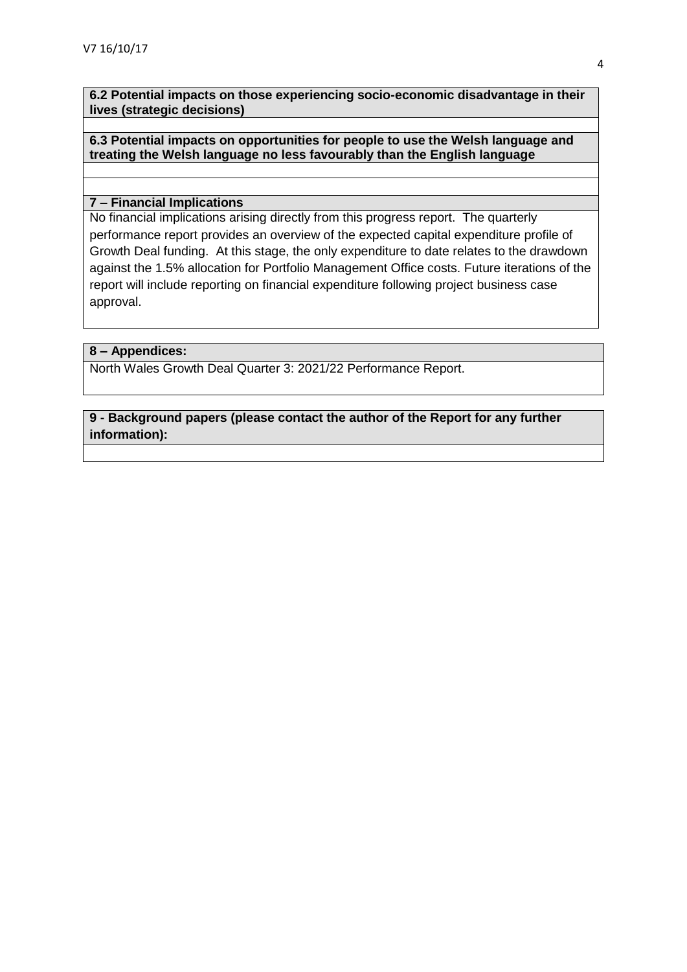**6.2 Potential impacts on those experiencing socio-economic disadvantage in their lives (strategic decisions)**

#### **6.3 Potential impacts on opportunities for people to use the Welsh language and treating the Welsh language no less favourably than the English language**

#### **7 – Financial Implications**

No financial implications arising directly from this progress report. The quarterly performance report provides an overview of the expected capital expenditure profile of Growth Deal funding. At this stage, the only expenditure to date relates to the drawdown against the 1.5% allocation for Portfolio Management Office costs. Future iterations of the report will include reporting on financial expenditure following project business case approval.

#### **8 – Appendices:**

North Wales Growth Deal Quarter 3: 2021/22 Performance Report.

# **9 - Background papers (please contact the author of the Report for any further information):**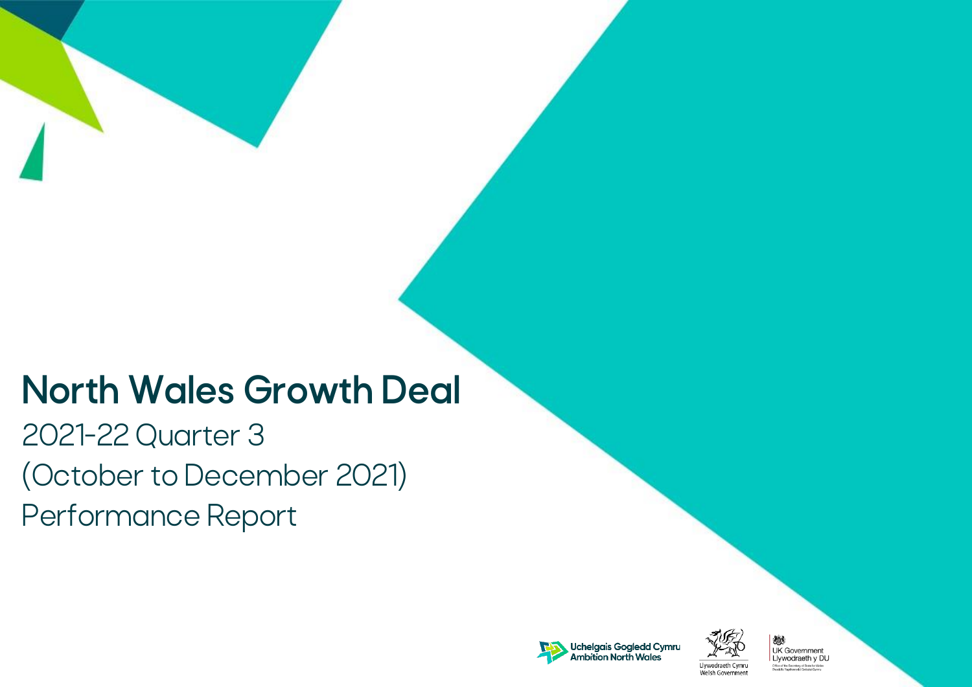# **North Wales Growth Deal**

2021-22 Quarter 3 (October to December 2021) Performance Report





嫐 **UK Government** Llywodraeth y DU Office of the Secretary of State for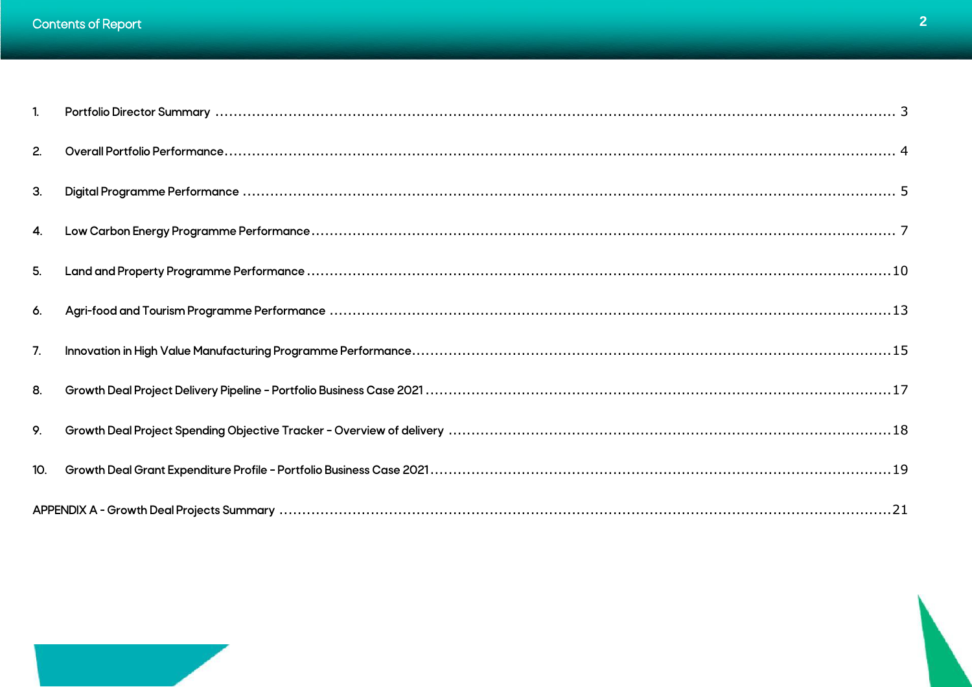| 1.             |  |
|----------------|--|
| 2.             |  |
| 3.             |  |
| 4.             |  |
| 5 <sub>1</sub> |  |
| 6.             |  |
| 7.             |  |
| 8.             |  |
| 9.             |  |
| 10.            |  |
|                |  |

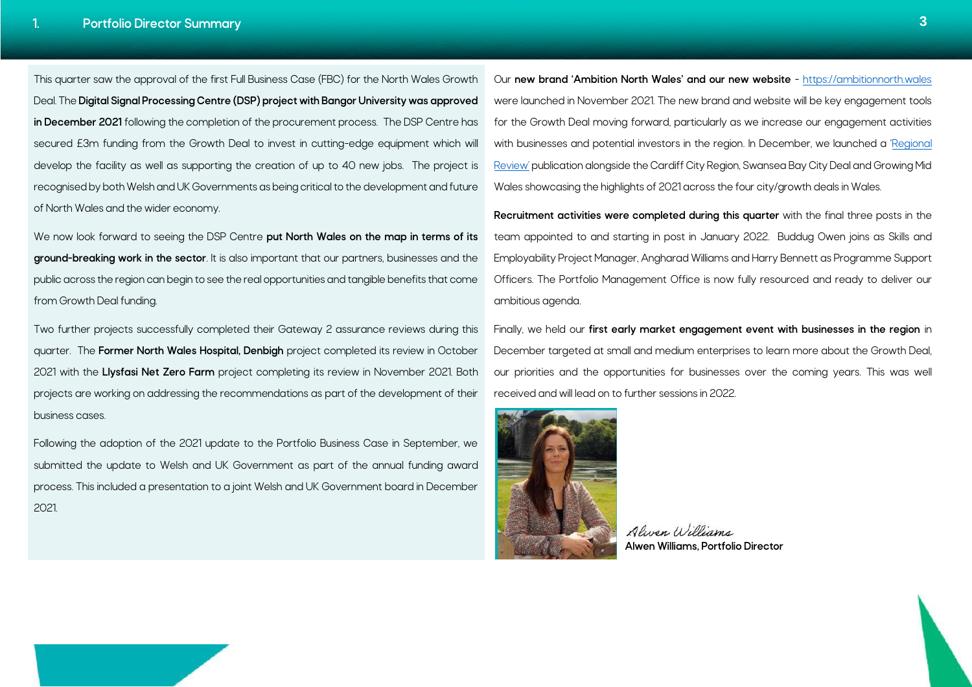<span id="page-6-0"></span> $\overline{\phantom{a}}$ 

This quarter saw the approval of the first Full Business Case (FBC) for the North Wales Growth Deal. The **Digital Signal Processing Centre (DSP) project with Bangor University was approved in December 2021** following the completion of the procurement process. The DSP Centre has secured £3m funding from the Growth Deal to invest in cutting-edge equipment which will develop the facility as well as supporting the creation of up to 40 new jobs. The project is recognised by both Welsh and UK Governments as being critical to the development and future of North Wales and the wider economy.

We now look forward to seeing the DSP Centre **put North Wales on the map in terms of its ground-breaking work in the sector**. It is also important that our partners, businesses and the public across the region can begin to see the real opportunities and tangible benefits that come from Growth Deal funding.

Two further projects successfully completed their Gateway 2 assurance reviews during this quarter. The **Former North Wales Hospital, Denbigh** project completed its review in October 2021 with the **Llysfasi Net Zero Farm** project completing its review in November 2021. Both projects are working on addressing the recommendations as part of the development of their business cases.

Following the adoption of the 2021 update to the Portfolio Business Case in September, we submitted the update to Welsh and UK Government as part of the annual funding award process. This included a presentation to a joint Welsh and UK Government board in December 2021.

Our **new brand 'Ambition North Wales' and our new website** - [https://ambitionnorth.wales](https://ambitionnorth.wales/) were launched in November 2021. The new brand and website will be key engagement tools for the Growth Deal moving forward, particularly as we increase our engagement activities with businesses and potential investors in the region. In December, we launched a '[Regional](https://ambitionnorth.wales/media/dkop4ypn/regional-review-2021.pdf)  [Review'](https://ambitionnorth.wales/media/dkop4ypn/regional-review-2021.pdf) publication alongside the Cardiff City Region, Swansea Bay City Deal and Growing Mid Wales showcasing the highlights of 2021 across the four city/growth deals in Wales.

**Recruitment activities were completed during this quarter** with the final three posts in the team appointed to and starting in post in January 2022. Buddug Owen joins as Skills and Employability Project Manager, Angharad Williams and Harry Bennett as Programme Support Officers. The Portfolio Management Office is now fully resourced and ready to deliver our ambitious agenda.

Finally, we held our **first early market engagement event with businesses in the region** in December targeted at small and medium enterprises to learn more about the Growth Deal, our priorities and the opportunities for businesses over the coming years. This was well received and will lead on to further sessions in 2022.



Alwan William **Alwen Williams, Portfolio Director**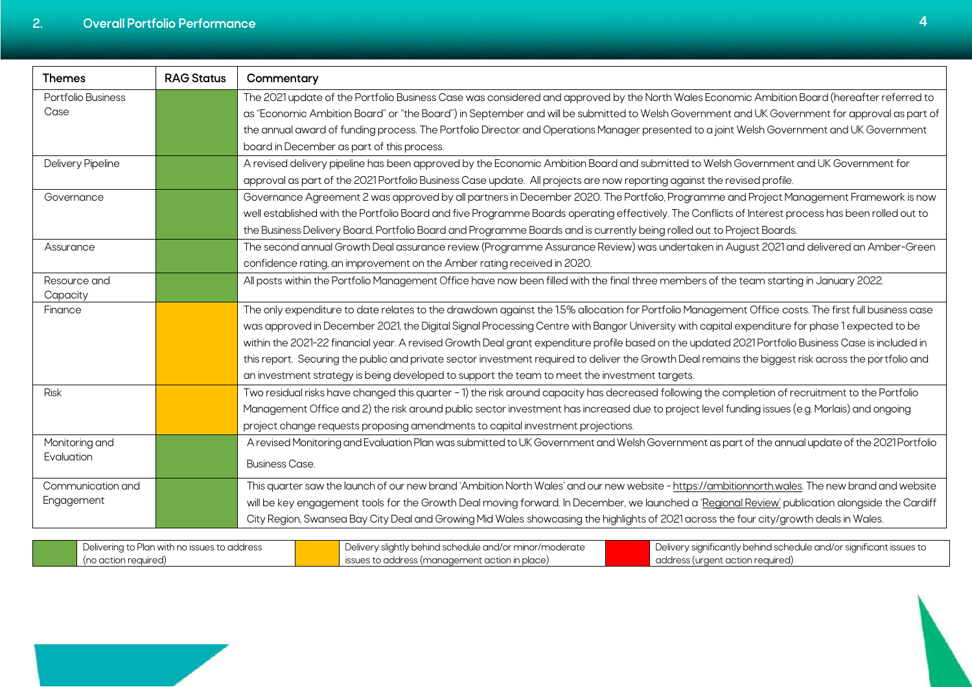<span id="page-7-0"></span>

| <b>Themes</b>      | <b>RAG Status</b> | Commentary                                                                                                                                           |
|--------------------|-------------------|------------------------------------------------------------------------------------------------------------------------------------------------------|
| Portfolio Business |                   | The 2021 update of the Portfolio Business Case was considered and approved by the North Wales Economic Ambition Board (hereafter referred to         |
| Case               |                   | as "Economic Ambition Board" or "the Board") in September and will be submitted to Welsh Government and UK Government for approval as part of        |
|                    |                   | the annual award of funding process. The Portfolio Director and Operations Manager presented to a joint Welsh Government and UK Government           |
|                    |                   | board in December as part of this process.                                                                                                           |
| Delivery Pipeline  |                   | A revised delivery pipeline has been approved by the Economic Ambition Board and submitted to Welsh Government and UK Government for                 |
|                    |                   | approval as part of the 2021 Portfolio Business Case update. All projects are now reporting against the revised profile.                             |
| Governance         |                   | Governance Agreement 2 was approved by all partners in December 2020. The Portfolio, Programme and Project Management Framework is now               |
|                    |                   | well established with the Portfolio Board and five Programme Boards operating effectively. The Conflicts of Interest process has been rolled out to  |
|                    |                   | the Business Delivery Board, Portfolio Board and Programme Boards and is currently being rolled out to Project Boards.                               |
| Assurance          |                   | The second annual Growth Deal assurance review (Programme Assurance Review) was undertaken in August 2021 and delivered an Amber-Green               |
|                    |                   | confidence rating, an improvement on the Amber rating received in 2020.                                                                              |
| Resource and       |                   | All posts within the Portfolio Management Office have now been filled with the final three members of the team starting in January 2022.             |
| Capacity           |                   |                                                                                                                                                      |
| Finance            |                   | The only expenditure to date relates to the drawdown against the 1.5% allocation for Portfolio Management Office costs. The first full business case |
|                    |                   | was approved in December 2021, the Digital Signal Processing Centre with Bangor University with capital expenditure for phase 1 expected to be       |
|                    |                   | within the 2021-22 financial year. A revised Growth Deal grant expenditure profile based on the updated 2021 Portfolio Business Case is included in  |
|                    |                   | this report. Securing the public and private sector investment required to deliver the Growth Deal remains the biggest risk across the portfolio and |
|                    |                   | an investment strategy is being developed to support the team to meet the investment targets.                                                        |
| <b>Risk</b>        |                   | Two residual risks have changed this quarter - 1) the risk around capacity has decreased following the completion of recruitment to the Portfolio    |
|                    |                   | Management Office and 2) the risk around public sector investment has increased due to project level funding issues (e.g. Morlais) and ongoing       |
|                    |                   | project change requests proposing amendments to capital investment projections.                                                                      |
| Monitoring and     |                   | A revised Monitoring and Evaluation Plan was submitted to UK Government and Welsh Government as part of the annual update of the 2021 Portfolio      |
| Evaluation         |                   | <b>Business Case.</b>                                                                                                                                |
| Communication and  |                   | This quarter saw the launch of our new brand 'Ambition North Wales' and our new website - https://ambitionnorth.wales. The new brand and website     |
| Engagement         |                   | will be key engagement tools for the Growth Deal moving forward. In December, we launched a 'Regional Review' publication alongside the Cardiff      |
|                    |                   | City Region, Swansea Bay City Deal and Growing Mid Wales showcasing the highlights of 2021 across the four city/growth deals in Wales.               |

| Delivering to Plan with no issues to address | Delivery slightly behind schedule and/or minor/moderate                    | Delivery significantly behind schedule and/or significant issues to |
|----------------------------------------------|----------------------------------------------------------------------------|---------------------------------------------------------------------|
| (no action reauired)                         | $\mathsf I\,$ issues to address (management action in place) $\mathsf I\,$ | address (urgent action required)                                    |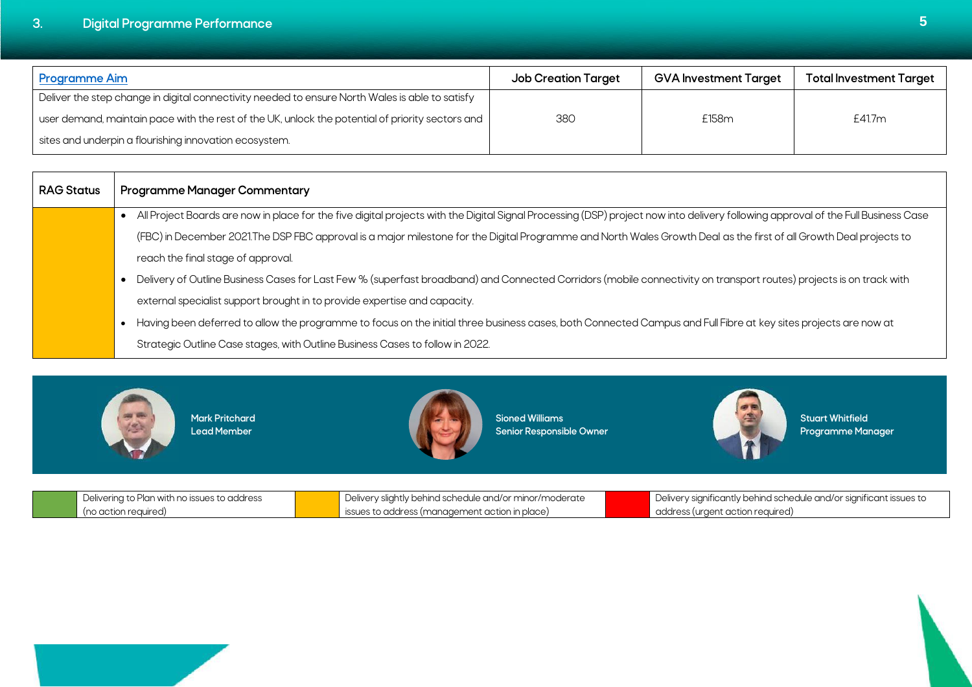# <span id="page-8-0"></span>**3. Digital Programme Performance 5**

| <b>Programme Aim</b>                                                                             | <b>Job Creation Target</b> | <b>GVA Investment Target</b> | Total Investment Target |
|--------------------------------------------------------------------------------------------------|----------------------------|------------------------------|-------------------------|
| Deliver the step change in digital connectivity needed to ensure North Wales is able to satisfy  |                            |                              |                         |
| user demand, maintain pace with the rest of the UK, unlock the potential of priority sectors and | 380                        | £158m                        | £41.7m                  |
| sites and underpin a flourishing innovation ecosystem.                                           |                            |                              |                         |

| <b>RAG Status</b> | <b>Programme Manager Commentary</b>                                                                                                                                               |
|-------------------|-----------------------------------------------------------------------------------------------------------------------------------------------------------------------------------|
|                   | All Project Boards are now in place for the five digital projects with the Digital Signal Processing (DSP) project now into delivery following approval of the Full Business Case |
|                   | (FBC) in December 2021.The DSP FBC approval is a major milestone for the Digital Programme and North Wales Growth Deal as the first of all Growth Deal projects to                |
|                   | reach the final stage of approval.                                                                                                                                                |
|                   | Delivery of Outline Business Cases for Last Few % (superfast broadband) and Connected Corridors (mobile connectivity on transport routes) projects is on track with               |
|                   | external specialist support brought in to provide expertise and capacity.                                                                                                         |
|                   | Having been deferred to allow the programme to focus on the initial three business cases, both Connected Campus and Full Fibre at key sites projects are now at                   |
|                   | Strategic Outline Case stages, with Outline Business Cases to follow in 2022.                                                                                                     |



|                      | Delivering to Plan with no issues to address | Delivery slightly behind schedule and/or minor/moderate | Delivery significantly behind schedule and/or significant issues to |
|----------------------|----------------------------------------------|---------------------------------------------------------|---------------------------------------------------------------------|
| (no action required) |                                              | ssues to address (management action in place)           | address (urgent action required)                                    |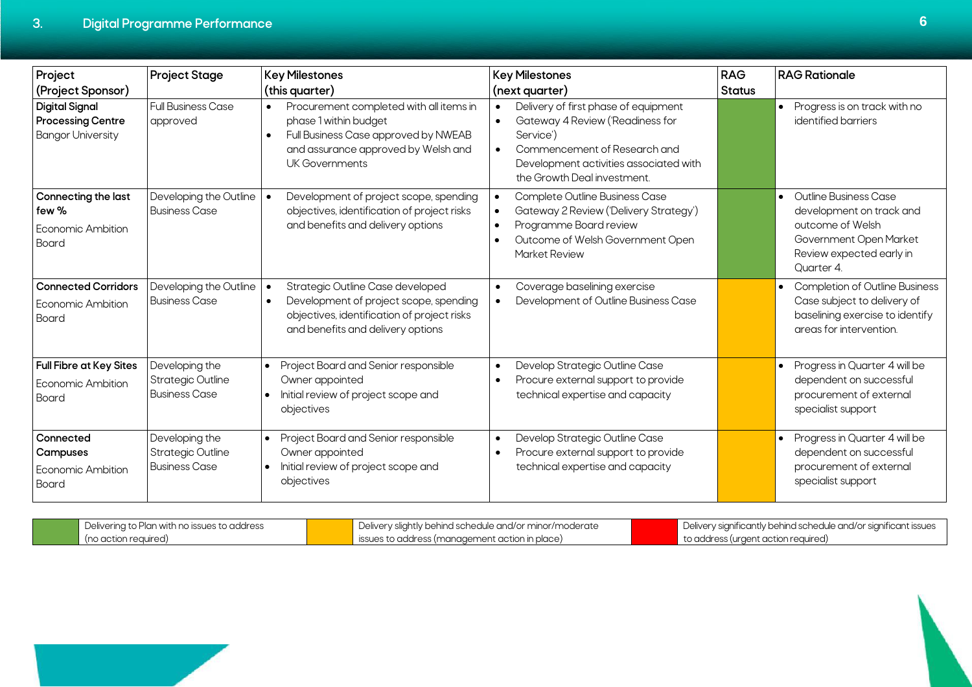Г

| Project<br>(Project Sponsor)                                                  | <b>Project Stage</b>                                               | <b>Key Milestones</b><br>(this quarter)                                                                                                                                                            | <b>Key Milestones</b><br>(next quarter)                                                                                                                                                                                  | <b>RAG</b><br><b>Status</b> | <b>RAG Rationale</b>                                                                                                                                   |
|-------------------------------------------------------------------------------|--------------------------------------------------------------------|----------------------------------------------------------------------------------------------------------------------------------------------------------------------------------------------------|--------------------------------------------------------------------------------------------------------------------------------------------------------------------------------------------------------------------------|-----------------------------|--------------------------------------------------------------------------------------------------------------------------------------------------------|
| <b>Digital Signal</b><br><b>Processing Centre</b><br><b>Bangor University</b> | <b>Full Business Case</b><br>approved                              | Procurement completed with all items in<br>$\bullet$<br>phase 1 within budget<br>Full Business Case approved by NWEAB<br>$\bullet$<br>and assurance approved by Welsh and<br><b>UK Governments</b> | Delivery of first phase of equipment<br>$\bullet$<br>Gateway 4 Review ('Readiness for<br>Service')<br>Commencement of Research and<br>$\bullet$<br>Development activities associated with<br>the Growth Deal investment. |                             | Progress is on track with no<br>identified barriers                                                                                                    |
| Connecting the last<br>few %<br>Economic Ambition<br>Board                    | Developing the Outline<br><b>Business Case</b>                     | Development of project scope, spending<br>objectives, identification of project risks<br>and benefits and delivery options                                                                         | Complete Outline Business Case<br>Gateway 2 Review ('Delivery Strategy')<br>Programme Board review<br>Outcome of Welsh Government Open<br>Market Review                                                                  |                             | Outline Business Case<br>$\bullet$<br>development on track and<br>outcome of Welsh<br>Government Open Market<br>Review expected early in<br>Ouarter 4. |
| <b>Connected Corridors</b><br>Economic Ambition<br>Board                      | Developing the Outline<br><b>Business Case</b>                     | Strategic Outline Case developed<br>$\bullet$<br>Development of project scope, spending<br>$\bullet$<br>objectives, identification of project risks<br>and benefits and delivery options           | Coverage baselining exercise<br>$\bullet$<br>Development of Outline Business Case                                                                                                                                        |                             | <b>Completion of Outline Business</b><br>Case subject to delivery of<br>baselining exercise to identify<br>areas for intervention.                     |
| <b>Full Fibre at Key Sites</b><br>Economic Ambition<br>Board                  | Developing the<br><b>Strategic Outline</b><br><b>Business Case</b> | Project Board and Senior responsible<br>$\bullet$<br>Owner appointed<br>Initial review of project scope and<br>$\bullet$<br>objectives                                                             | Develop Strategic Outline Case<br>Procure external support to provide<br>$\bullet$<br>technical expertise and capacity                                                                                                   |                             | Progress in Quarter 4 will be<br>$\bullet$<br>dependent on successful<br>procurement of external<br>specialist support                                 |
| Connected<br>Campuses<br>Economic Ambition<br>Board                           | Developing the<br><b>Strategic Outline</b><br><b>Business Case</b> | Project Board and Senior responsible<br>Owner appointed<br>Initial review of project scope and<br>$\bullet$<br>objectives                                                                          | Develop Strategic Outline Case<br>Procure external support to provide<br>technical expertise and capacity                                                                                                                |                             | Progress in Quarter 4 will be<br>dependent on successful<br>procurement of external<br>specialist support                                              |

| Delivering to Plan with no issues to address | Delivery slightly behind schedule and/or minor/moderate       | Delivery significantly behind schedule and/or significant issues |
|----------------------------------------------|---------------------------------------------------------------|------------------------------------------------------------------|
| (no action reauired)                         | $\blacksquare$ issues to address (management action in place) | to address (urgent action required)                              |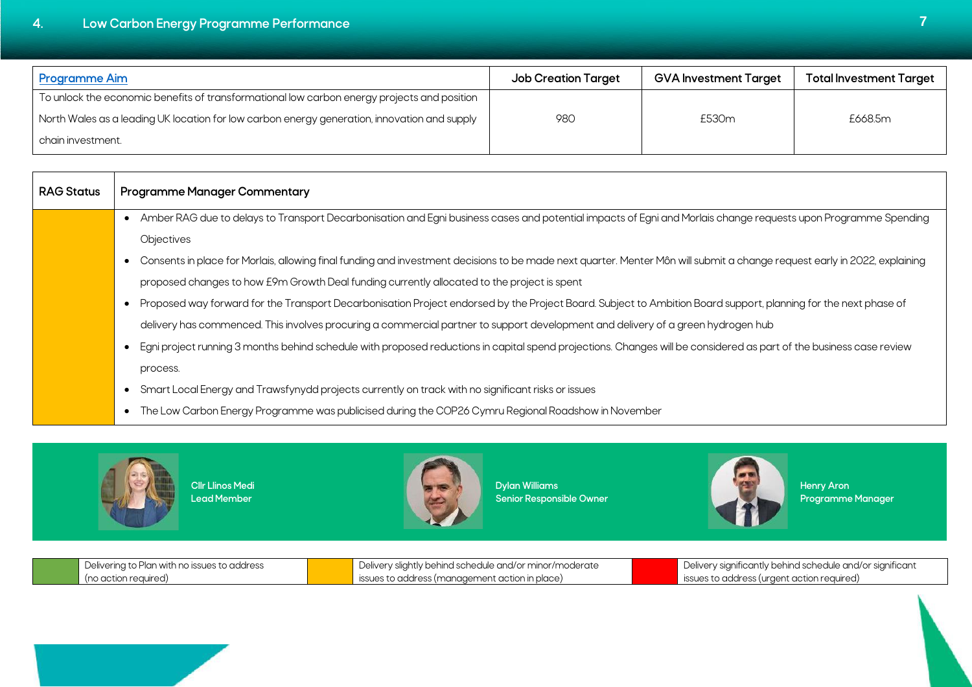<span id="page-10-0"></span>

| <b>Programme Aim</b>                                                                         | <b>Job Creation Target</b> | <b>GVA Investment Target</b> | <b>Total Investment Target</b> |
|----------------------------------------------------------------------------------------------|----------------------------|------------------------------|--------------------------------|
| To unlock the economic benefits of transformational low carbon energy projects and position  |                            |                              |                                |
| North Wales as a leading UK location for low carbon energy generation, innovation and supply | 980                        | £530m                        | £668.5m                        |
| chain investment.                                                                            |                            |                              |                                |

| <b>RAG Status</b> | <b>Programme Manager Commentary</b>                                                                                                                                       |
|-------------------|---------------------------------------------------------------------------------------------------------------------------------------------------------------------------|
|                   | Amber RAG due to delays to Transport Decarbonisation and Egni business cases and potential impacts of Egni and Morlais change requests upon Programme Spending            |
|                   | Objectives                                                                                                                                                                |
|                   | Consents in place for Morlais, allowing final funding and investment decisions to be made next quarter. Menter Môn will submit a change request early in 2022, explaining |
|                   | proposed changes to how E9m Growth Deal funding currently allocated to the project is spent                                                                               |
|                   | Proposed way forward for the Transport Decarbonisation Project endorsed by the Project Board. Subject to Ambition Board support, planning for the next phase of           |
|                   | delivery has commenced. This involves procuring a commercial partner to support development and delivery of a green hydrogen hub                                          |
|                   | Egni project running 3 months behind schedule with proposed reductions in capital spend projections. Changes will be considered as part of the business case review       |
|                   | process.                                                                                                                                                                  |
|                   | Smart Local Energy and Trawsfynydd projects currently on track with no significant risks or issues                                                                        |
|                   | The Low Carbon Energy Programme was publicised during the COP26 Cymru Regional Roadshow in November<br>$\bullet$                                                          |
|                   |                                                                                                                                                                           |



**Cllr Llinos Medi Lead Member**



**Dylan Williams Senior Responsible Owner**



**Henry Aron Programme Manager**

| Delivering to Plan with no issues to address | Delivery slightly behind schedule and/or minor/moderate | Delivery significantly behind schedule and/or significant |
|----------------------------------------------|---------------------------------------------------------|-----------------------------------------------------------|
| l (no action reauired,                       | sues to address (management action in place)            | ssues to address (urgent action required)                 |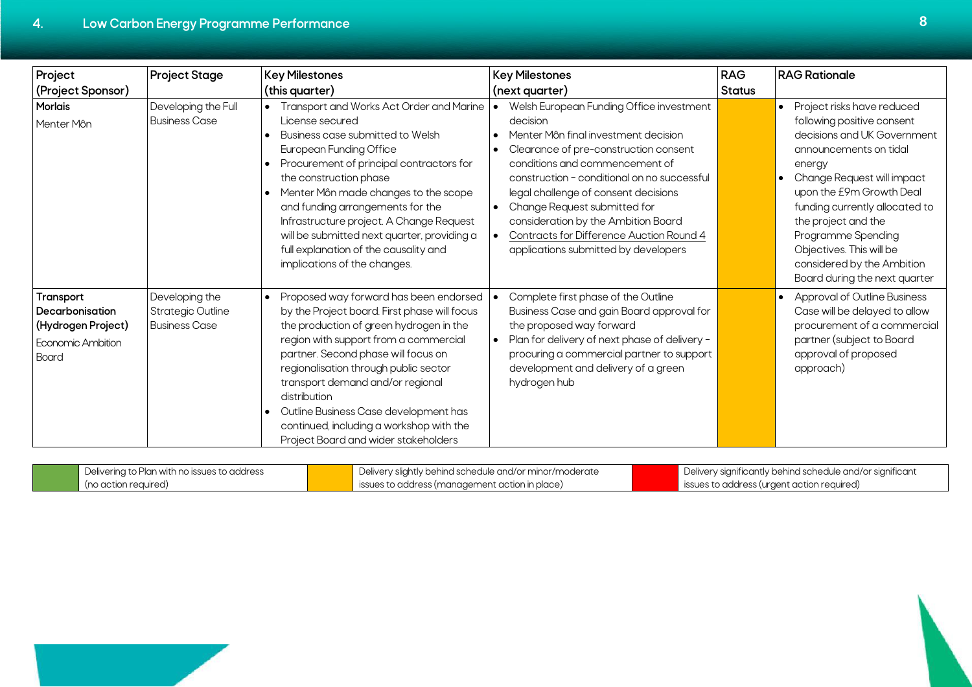| Project                                                                                        | <b>Project Stage</b>                                               | <b>Key Milestones</b>                                                                                                                                                                                                                                                                                                                                                                                                                                       | <b>Key Milestones</b>                                                                                                                                                                                                                                                                                                                                                                                                     | <b>RAG</b>    | <b>RAG Rationale</b>                                                                                                                                                                                                                                                                                                                                                         |
|------------------------------------------------------------------------------------------------|--------------------------------------------------------------------|-------------------------------------------------------------------------------------------------------------------------------------------------------------------------------------------------------------------------------------------------------------------------------------------------------------------------------------------------------------------------------------------------------------------------------------------------------------|---------------------------------------------------------------------------------------------------------------------------------------------------------------------------------------------------------------------------------------------------------------------------------------------------------------------------------------------------------------------------------------------------------------------------|---------------|------------------------------------------------------------------------------------------------------------------------------------------------------------------------------------------------------------------------------------------------------------------------------------------------------------------------------------------------------------------------------|
| (Project Sponsor)                                                                              |                                                                    | (this quarter)                                                                                                                                                                                                                                                                                                                                                                                                                                              | (next quarter)                                                                                                                                                                                                                                                                                                                                                                                                            | <b>Status</b> |                                                                                                                                                                                                                                                                                                                                                                              |
| <b>Morlais</b><br>Menter Môn                                                                   | Developing the Full<br><b>Business Case</b>                        | Transport and Works Act Order and Marine<br>License secured<br>Business case submitted to Welsh<br><b>European Funding Office</b><br>• Procurement of principal contractors for<br>the construction phase<br>• Menter Môn made changes to the scope<br>and funding arrangements for the<br>Infrastructure project. A Change Request<br>will be submitted next quarter, providing a<br>full explanation of the causality and<br>implications of the changes. | Welsh European Funding Office investment<br>decision<br>Menter Môn final investment decision<br>Clearance of pre-construction consent<br>conditions and commencement of<br>construction - conditional on no successful<br>legal challenge of consent decisions<br>Change Request submitted for<br>consideration by the Ambition Board<br>Contracts for Difference Auction Round 4<br>applications submitted by developers |               | Project risks have reduced<br>$\bullet$<br>following positive consent<br>decisions and UK Government<br>announcements on tidal<br>energy<br>Change Request will impact<br>upon the E9m Growth Deal<br>funding currently allocated to<br>the project and the<br>Programme Spending<br>Objectives. This will be<br>considered by the Ambition<br>Board during the next quarter |
| Transport<br>Decarbonisation<br>(Hydrogen Project)<br><b>Economic Ambition</b><br><b>Board</b> | Developing the<br><b>Strategic Outline</b><br><b>Business Case</b> | Proposed way forward has been endorsed<br>by the Project board. First phase will focus<br>the production of green hydrogen in the<br>region with support from a commercial<br>partner. Second phase will focus on<br>regionalisation through public sector<br>transport demand and/or regional<br>distribution<br>Outline Business Case development has<br>continued, including a workshop with the<br>Project Board and wider stakeholders                 | Complete first phase of the Outline<br>Business Case and gain Board approval for<br>the proposed way forward<br>Plan for delivery of next phase of delivery -<br>procuring a commercial partner to support<br>development and delivery of a green<br>hydrogen hub                                                                                                                                                         |               | <b>Approval of Outline Business</b><br>Case will be delayed to allow<br>procurement of a commercial<br>partner (subject to Board<br>approval of proposed<br>approach)                                                                                                                                                                                                        |

| Delivering to Plan with no issues to address | U Delivery slightly behind schedule and/or minor/moderate | Delivery significantly behind schedule and/or significant |
|----------------------------------------------|-----------------------------------------------------------|-----------------------------------------------------------|
| (no action required)                         | issues to address (management action in place)            | issues to address (urgent action required)                |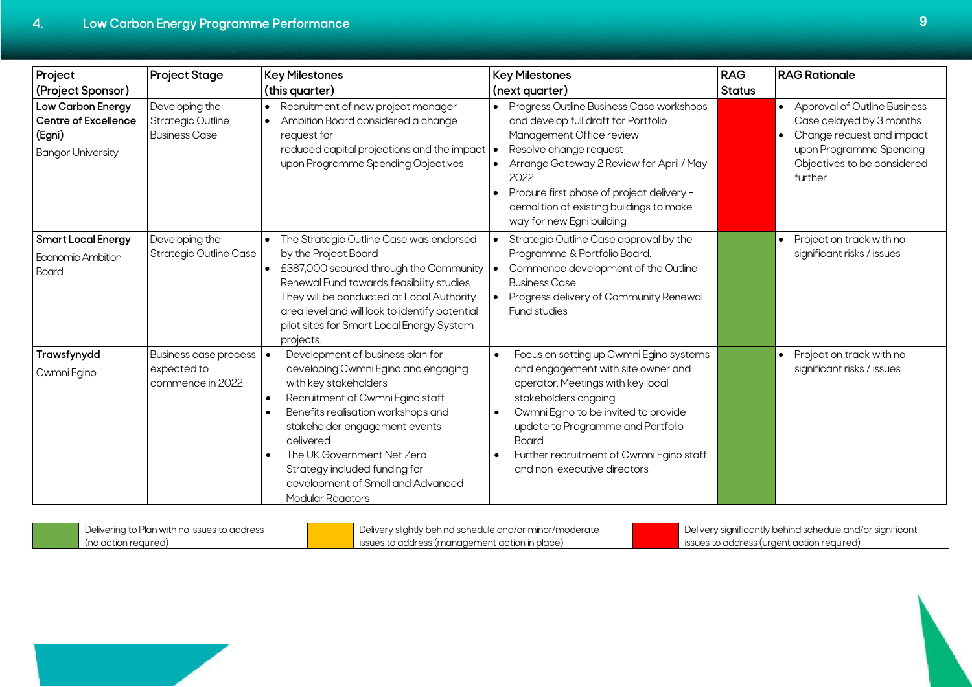| Project                                                                         | <b>Project Stage</b>                                               | <b>Key Milestones</b>                                                                                                                                                                                                                                                                                                                                                | <b>Key Milestones</b>                                                                                                                                                                                                                                                                                            | <b>RAG</b>    | <b>RAG Rationale</b>                                                                                                                                              |
|---------------------------------------------------------------------------------|--------------------------------------------------------------------|----------------------------------------------------------------------------------------------------------------------------------------------------------------------------------------------------------------------------------------------------------------------------------------------------------------------------------------------------------------------|------------------------------------------------------------------------------------------------------------------------------------------------------------------------------------------------------------------------------------------------------------------------------------------------------------------|---------------|-------------------------------------------------------------------------------------------------------------------------------------------------------------------|
| (Project Sponsor)                                                               |                                                                    | (this quarter)                                                                                                                                                                                                                                                                                                                                                       | (next quarter)                                                                                                                                                                                                                                                                                                   | <b>Status</b> |                                                                                                                                                                   |
| Low Carbon Energy<br>Centre of Excellence<br>(Egni)<br><b>Bangor University</b> | Developing the<br><b>Strategic Outline</b><br><b>Business Case</b> | Recruitment of new project manager<br>$\bullet$<br>Ambition Board considered a change<br>request for<br>reduced capital projections and the impact  <br>upon Programme Spending Objectives                                                                                                                                                                           | Progress Outline Business Case workshops<br>and develop full draft for Portfolio<br>Management Office review<br>Resolve change request<br>Arrange Gateway 2 Review for April / May<br>2022<br>Procure first phase of project delivery -<br>demolition of existing buildings to make<br>way for new Egni building |               | <b>Approval of Outline Business</b><br>Case delayed by 3 months<br>Change request and impact<br>upon Programme Spending<br>Objectives to be considered<br>further |
| <b>Smart Local Energy</b><br>Economic Ambition<br><b>Board</b>                  | Developing the<br><b>Strategic Outline Case</b>                    | The Strategic Outline Case was endorsed<br>$\bullet$<br>by the Project Board<br>• £387,000 secured through the Community   •<br>Renewal Fund towards feasibility studies.<br>They will be conducted at Local Authority<br>area level and will look to identify potential<br>pilot sites for Smart Local Energy System<br>projects.                                   | Strategic Outline Case approval by the<br>Programme & Portfolio Board.<br>Commence development of the Outline<br><b>Business Case</b><br>Progress delivery of Community Renewal<br>Fund studies                                                                                                                  |               | Project on track with no<br>significant risks / issues                                                                                                            |
| Trawsfynydd<br>Cwmni Egino                                                      | <b>Business case process</b><br>expected to<br>commence in 2022    | Development of business plan for<br>$\bullet$<br>developing Cwmni Egino and engaging<br>with key stakeholders<br>Recruitment of Cwmni Egino staff<br>Benefits realisation workshops and<br>stakeholder engagement events<br>delivered<br>The UK Government Net Zero<br>Strategy included funding for<br>development of Small and Advanced<br><b>Modular Reactors</b> | Focus on setting up Cwmni Egino systems<br>and engagement with site owner and<br>operator. Meetings with key local<br>stakeholders ongoing<br>Cwmni Egino to be invited to provide<br>update to Programme and Portfolio<br>Board<br>Further recruitment of Cwmni Egino staff<br>and non-executive directors      |               | Project on track with no<br>significant risks / issues                                                                                                            |

| Delivering to Plan with no issues to address | Delivery slightly behind schedule and/or minor/moderate | Delivery significantly behind schedule and/or significant |
|----------------------------------------------|---------------------------------------------------------|-----------------------------------------------------------|
| (no action required)                         | ssues to address (management action in place)           | sissues to address (urgent action required)               |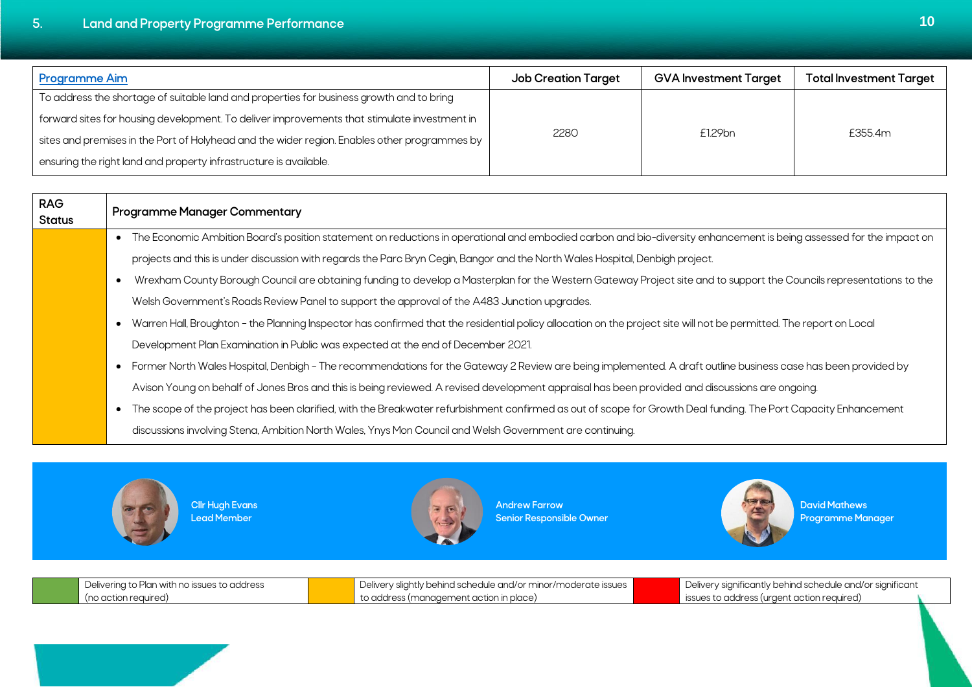<span id="page-13-0"></span>

| <b>Programme Aim</b>                                                                         | <b>Job Creation Target</b> | <b>GVA Investment Target</b> | <b>Total Investment Target</b> |
|----------------------------------------------------------------------------------------------|----------------------------|------------------------------|--------------------------------|
| To address the shortage of suitable land and properties for business growth and to bring     |                            |                              |                                |
| forward sites for housing development. To deliver improvements that stimulate investment in  |                            |                              |                                |
| sites and premises in the Port of Holyhead and the wider region. Enables other programmes by | 2280                       | £1.29bn                      | £355.4m                        |
| ensuring the right land and property infrastructure is available.                            |                            |                              |                                |

| <b>RAG</b><br><b>Status</b> | <b>Programme Manager Commentary</b>                                                                                                                                              |
|-----------------------------|----------------------------------------------------------------------------------------------------------------------------------------------------------------------------------|
|                             | The Economic Ambition Board's position statement on reductions in operational and embodied carbon and bio-diversity enhancement is being assessed for the impact on<br>$\bullet$ |
|                             | projects and this is under discussion with regards the Parc Bryn Cegin, Bangor and the North Wales Hospital, Denbigh project.                                                    |
|                             | Wrexham County Borough Council are obtaining funding to develop a Masterplan for the Western Gateway Project site and to support the Councils representations to the             |
|                             | Welsh Government's Roads Review Panel to support the approval of the A483 Junction upgrades.                                                                                     |
|                             | Warren Hall, Broughton - the Planning Inspector has confirmed that the residential policy allocation on the project site will not be permitted. The report on Local              |
|                             | Development Plan Examination in Public was expected at the end of December 2021.                                                                                                 |
|                             | Former North Wales Hospital, Denbigh - The recommendations for the Gateway 2 Review are being implemented. A draft outline business case has been provided by<br>$\bullet$       |
|                             | Avison Young on behalf of Jones Bros and this is being reviewed. A revised development appraisal has been provided and discussions are ongoing.                                  |
|                             | The scope of the project has been clarified, with the Breakwater refurbishment confirmed as out of scope for Growth Deal funding. The Port Capacity Enhancement                  |
|                             | discussions involving Stena, Ambition North Wales, Ynys Mon Council and Welsh Government are continuing.                                                                         |



**Cllr Hugh Evans Lead Member**



**Andrew Farrow Senior Responsible Owner**



**David Mathews Programme Manager**

| ina to Plan with no issues to address l<br>Delivering to ' | ivery slightly behind schedule and/or minor/moderate issues<br>Uelive. | Delivery significantly behind schedule and/or significant |  |
|------------------------------------------------------------|------------------------------------------------------------------------|-----------------------------------------------------------|--|
| (no action reauired)                                       | to address (management action in place)                                | ssues to address (urgent action reaurred)                 |  |
|                                                            |                                                                        |                                                           |  |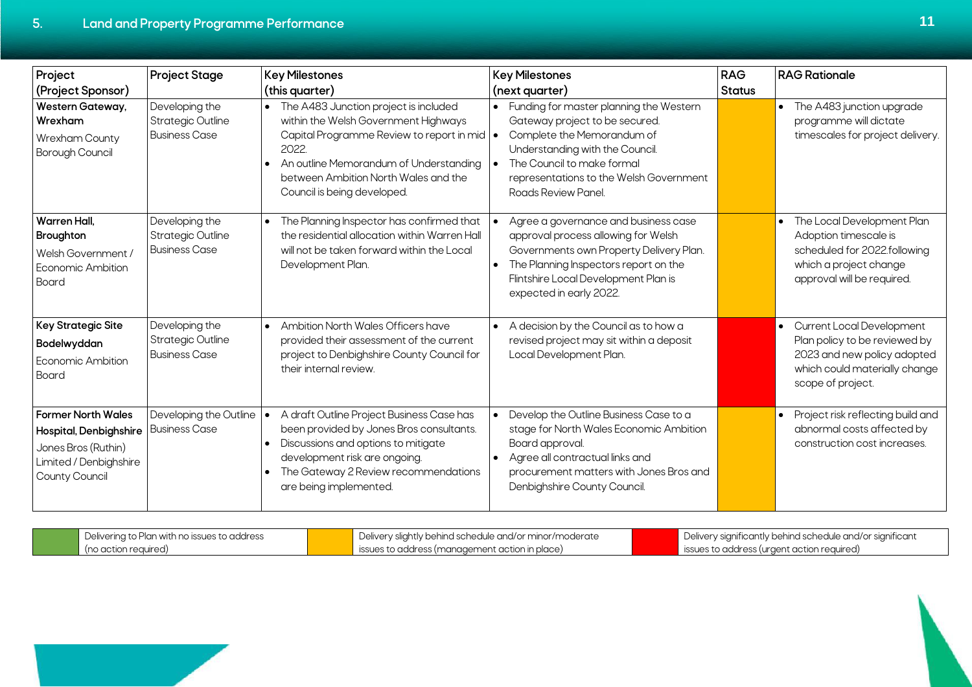| Project                                                                                                                | <b>Project Stage</b>                                               | <b>Key Milestones</b>                                                                                                                                                                                                                                                 | <b>Key Milestones</b>                                                                                                                                                                                                                        | <b>RAG</b>    | <b>RAG Rationale</b>                                                                                                                                     |
|------------------------------------------------------------------------------------------------------------------------|--------------------------------------------------------------------|-----------------------------------------------------------------------------------------------------------------------------------------------------------------------------------------------------------------------------------------------------------------------|----------------------------------------------------------------------------------------------------------------------------------------------------------------------------------------------------------------------------------------------|---------------|----------------------------------------------------------------------------------------------------------------------------------------------------------|
| (Project Sponsor)                                                                                                      |                                                                    | (this quarter)                                                                                                                                                                                                                                                        | (next quarter)                                                                                                                                                                                                                               | <b>Status</b> |                                                                                                                                                          |
| Western Gateway,<br>Wrexham<br>Wrexham County<br>Borough Council                                                       | Developing the<br><b>Strategic Outline</b><br><b>Business Case</b> | The A483 Junction project is included<br>$\bullet$<br>within the Welsh Government Highways<br>Capital Programme Review to report in mid   •<br>2022.<br>An outline Memorandum of Understanding<br>between Ambition North Wales and the<br>Council is being developed. | • Funding for master planning the Western<br>Gateway project to be secured.<br>Complete the Memorandum of<br>Understanding with the Council.<br>The Council to make formal<br>representations to the Welsh Government<br>Roads Review Panel. |               | The A483 junction upgrade<br>$\bullet$<br>programme will dictate<br>timescales for project delivery.                                                     |
| <b>Warren Hall.</b><br><b>Broughton</b><br>Welsh Government /<br>Economic Ambition<br>Board                            | Developing the<br><b>Strategic Outline</b><br><b>Business Case</b> | The Planning Inspector has confirmed that<br>the residential allocation within Warren Hall<br>will not be taken forward within the Local<br>Development Plan.                                                                                                         | Agree a governance and business case<br>approval process allowing for Welsh<br>Governments own Property Delivery Plan.<br>The Planning Inspectors report on the<br>Flintshire Local Development Plan is<br>expected in early 2022.           |               | The Local Development Plan<br>$\bullet$<br>Adoption timescale is<br>scheduled for 2022.following<br>which a project change<br>approval will be required. |
| <b>Key Strategic Site</b><br>Bodelwyddan<br>Economic Ambition<br>Board                                                 | Developing the<br><b>Strategic Outline</b><br><b>Business Case</b> | Ambition North Wales Officers have<br>$\bullet$<br>provided their assessment of the current<br>project to Denbighshire County Council for<br>their internal review.                                                                                                   | A decision by the Council as to how a<br>revised project may sit within a deposit<br>Local Development Plan.                                                                                                                                 |               | Current Local Development<br>Plan policy to be reviewed by<br>2023 and new policy adopted<br>which could materially change<br>scope of project.          |
| <b>Former North Wales</b><br>Hospital, Denbighshire<br>Jones Bros (Ruthin)<br>Limited / Denbighshire<br>County Council | Developing the Outline<br><b>Business Case</b>                     | A draft Outline Project Business Case has<br>been provided by Jones Bros consultants.<br>Discussions and options to mitigate<br>$\bullet$<br>development risk are ongoing.<br>The Gateway 2 Review recommendations<br>are being implemented.                          | Develop the Outline Business Case to a<br>stage for North Wales Economic Ambition<br>Board approval.<br>Agree all contractual links and<br>procurement matters with Jones Bros and<br>Denbighshire County Council.                           |               | Project risk reflecting build and<br>$\bullet$<br>abnormal costs affected by<br>construction cost increases.                                             |

| Delivering to Plan with no issues to address | Delivery slightly behind schedule and/or minor/moderate       | Delivery significantly behind schedule and/or significant |
|----------------------------------------------|---------------------------------------------------------------|-----------------------------------------------------------|
| (no action reauired)                         | $\blacksquare$ issues to address (management action in place) | issues to address (urgent action required)                |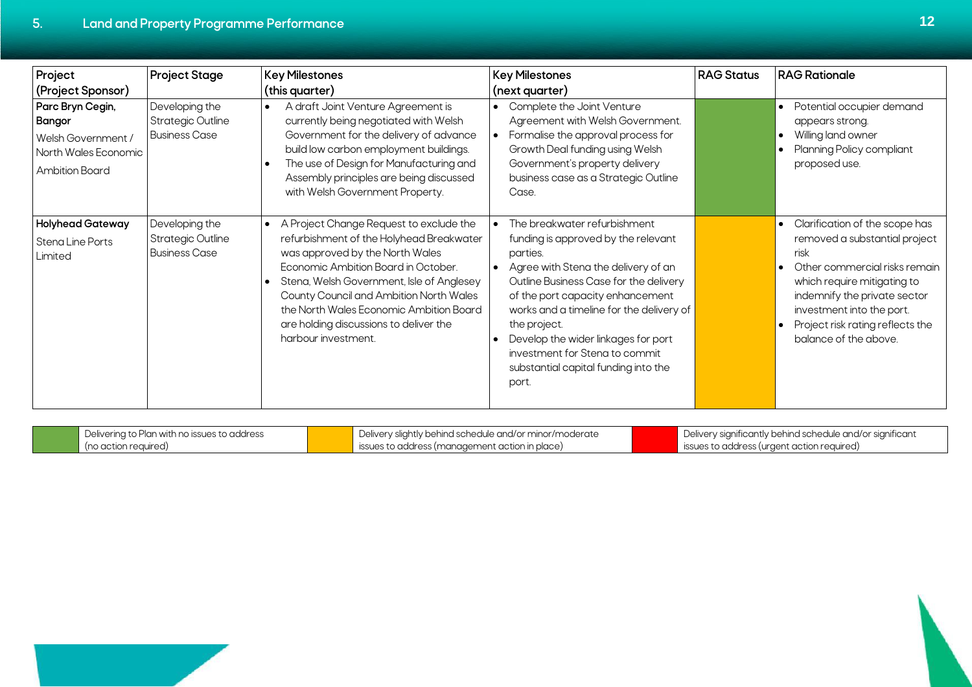Г

| Project                                                                                                  | <b>Project Stage</b>                                               | <b>Key Milestones</b>                                                                                                                                                                                                                                                                                                                                                          | <b>Key Milestones</b>                                                                                                                                                                                                                                                                                                                                                                      | <b>RAG Status</b> | <b>RAG Rationale</b>                                                                                                                                                                                                                                                           |
|----------------------------------------------------------------------------------------------------------|--------------------------------------------------------------------|--------------------------------------------------------------------------------------------------------------------------------------------------------------------------------------------------------------------------------------------------------------------------------------------------------------------------------------------------------------------------------|--------------------------------------------------------------------------------------------------------------------------------------------------------------------------------------------------------------------------------------------------------------------------------------------------------------------------------------------------------------------------------------------|-------------------|--------------------------------------------------------------------------------------------------------------------------------------------------------------------------------------------------------------------------------------------------------------------------------|
| (Project Sponsor)                                                                                        |                                                                    | (this quarter)                                                                                                                                                                                                                                                                                                                                                                 | (next quarter)                                                                                                                                                                                                                                                                                                                                                                             |                   |                                                                                                                                                                                                                                                                                |
| Parc Bryn Cegin,<br><b>Bangor</b><br>Welsh Government /<br>North Wales Economic<br><b>Ambition Board</b> | Developing the<br><b>Strategic Outline</b><br><b>Business Case</b> | A draft Joint Venture Agreement is<br>$\bullet$<br>currently being negotiated with Welsh<br>Government for the delivery of advance<br>build low carbon employment buildings.<br>The use of Design for Manufacturing and<br>Assembly principles are being discussed<br>with Welsh Government Property.                                                                          | Complete the Joint Venture<br>Agreement with Welsh Government.<br>Formalise the approval process for<br>Growth Deal funding using Welsh<br>Government's property delivery<br>business case as a Strategic Outline<br>Case.                                                                                                                                                                 |                   | Potential occupier demand<br>$\bullet$<br>appears strong.<br>Willing land owner<br>$\bullet$<br>Planning Policy compliant<br>proposed use.                                                                                                                                     |
| <b>Holyhead Gateway</b><br>Stena Line Ports<br>Limited                                                   | Developing the<br><b>Strategic Outline</b><br><b>Business Case</b> | A Project Change Request to exclude the<br>$\bullet$<br>refurbishment of the Holyhead Breakwater<br>was approved by the North Wales<br>Economic Ambition Board in October.<br>Stena, Welsh Government, Isle of Anglesey<br>County Council and Ambition North Wales<br>the North Wales Economic Ambition Board<br>are holding discussions to deliver the<br>harbour investment. | The breakwater refurbishment<br>funding is approved by the relevant<br>parties.<br>Agree with Stena the delivery of an<br>Outline Business Case for the delivery<br>of the port capacity enhancement<br>works and a timeline for the delivery of<br>the project.<br>Develop the wider linkages for port<br>investment for Stena to commit<br>substantial capital funding into the<br>port. |                   | Clarification of the scope has<br>$\bullet$<br>removed a substantial project<br>risk<br>Other commercial risks remain<br>which require mitigating to<br>indemnify the private sector<br>investment into the port.<br>Project risk rating reflects the<br>balance of the above. |

| i with no issues t<br>to address<br>101r<br>$\{(\cdot)\}$<br>개 스크리 | hind schedule and/or minor/moder<br>புப<br>Deliver<br><b>기니니</b>             | r sıqnıtıcant<br>Deliver<br>v sianificantly behind schedule and/or : |
|--------------------------------------------------------------------|------------------------------------------------------------------------------|----------------------------------------------------------------------|
| . Ino action reaured<br>, uu uu i                                  | nlang<br>.<br>action in<br><b>ISSI</b><br>$\sim$<br>1.111111<br>.<br>.<br>ື້ | uured.<br><b>ISSUES</b>                                              |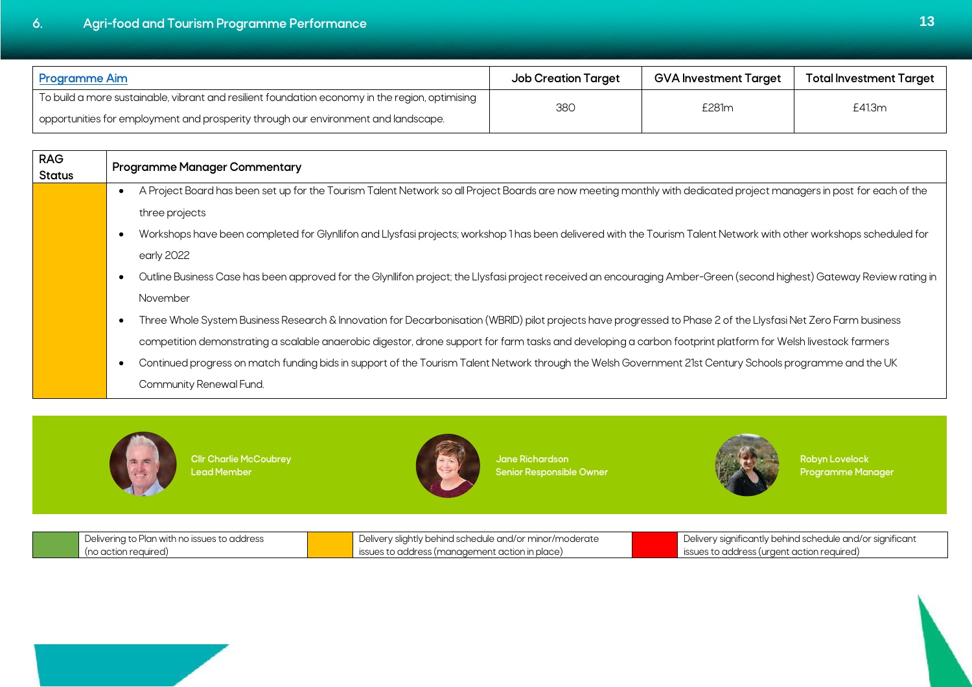<span id="page-16-0"></span>

| <b>Programme Aim</b>                                                                            | <b>Job Creation Target</b> | GVA Investment Target | Total Investment Target |
|-------------------------------------------------------------------------------------------------|----------------------------|-----------------------|-------------------------|
| To build a more sustainable, vibrant and resilient foundation economy in the region, optimising | 380                        | £281m                 | £41.3m                  |
| opportunities for employment and prosperity through our environment and landscape.              |                            |                       |                         |

| <b>RAG</b><br><b>Status</b> | <b>Programme Manager Commentary</b>                                                                                                                                    |
|-----------------------------|------------------------------------------------------------------------------------------------------------------------------------------------------------------------|
|                             | A Project Board has been set up for the Tourism Talent Network so all Project Boards are now meeting monthly with dedicated project managers in post for each of the   |
|                             | three projects                                                                                                                                                         |
|                             | Workshops have been completed for Glynllifon and Llysfasi projects; workshop 1 has been delivered with the Tourism Talent Network with other workshops scheduled for   |
|                             | early 2022                                                                                                                                                             |
|                             | Outline Business Case has been approved for the Glynllifon project; the Llysfasi project received an encouraging Amber-Green (second highest) Gateway Review rating in |
|                             | November                                                                                                                                                               |
|                             | Three Whole System Business Research & Innovation for Decarbonisation (WBRID) pilot projects have progressed to Phase 2 of the Llysfasi Net Zero Farm business         |
|                             | competition demonstrating a scalable anaerobic digestor, drone support for farm tasks and developing a carbon footprint platform for Welsh livestock farmers           |
|                             | Continued progress on match funding bids in support of the Tourism Talent Network through the Welsh Government 21st Century Schools programme and the UK               |
|                             | Community Renewal Fund.                                                                                                                                                |
|                             |                                                                                                                                                                        |



**Cllr Charlie McCoubrey Lead Member**



**Jane Richardson Senior Responsible Owner**



**Robyn Lovelock Programme Manager**

| Delivering to Plan with no issues to address | Delivery slightly behind schedule and/or minor/moderate | Delivery significantly behind schedule and/or significant |
|----------------------------------------------|---------------------------------------------------------|-----------------------------------------------------------|
| (no action required)                         | issues to address (management action in place)          | issues to address (urgent action required)                |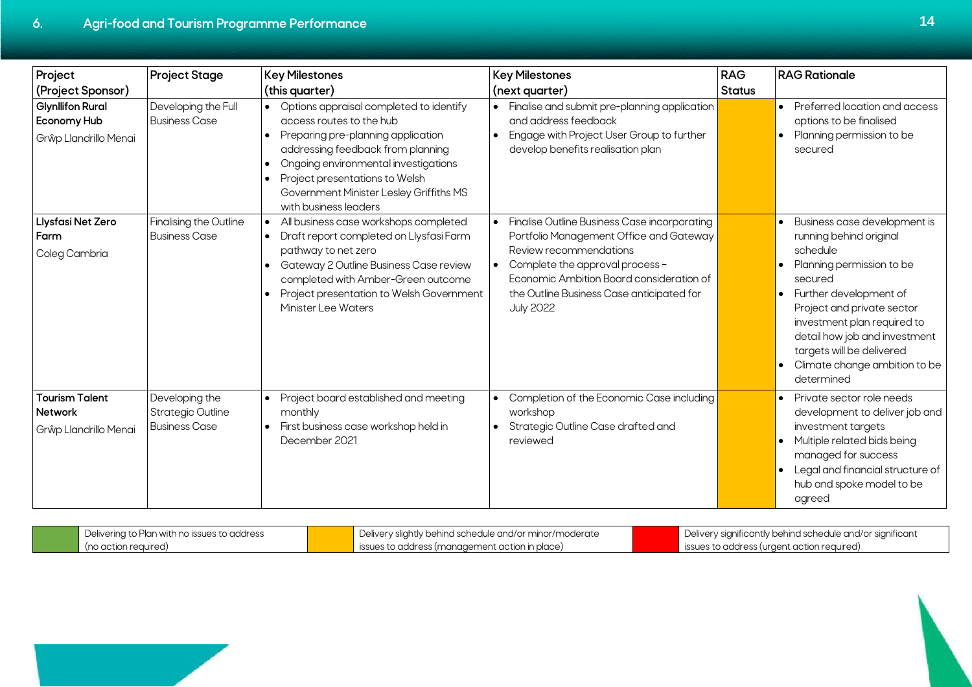| Project<br>(Project Sponsor)                                           | <b>Project Stage</b>                                               | <b>Key Milestones</b><br>(this quarter)                                                                                                                                                                                                                                                                       | <b>Key Milestones</b><br>(next quarter)                                                                                                                                                                                                                           | <b>RAG</b><br><b>Status</b> | <b>RAG Rationale</b>                                                                                                                                                                                                                                                                                                             |
|------------------------------------------------------------------------|--------------------------------------------------------------------|---------------------------------------------------------------------------------------------------------------------------------------------------------------------------------------------------------------------------------------------------------------------------------------------------------------|-------------------------------------------------------------------------------------------------------------------------------------------------------------------------------------------------------------------------------------------------------------------|-----------------------------|----------------------------------------------------------------------------------------------------------------------------------------------------------------------------------------------------------------------------------------------------------------------------------------------------------------------------------|
| <b>Glynllifon Rural</b><br><b>Economy Hub</b><br>Grŵp Llandrillo Menai | Developing the Full<br><b>Business Case</b>                        | • Options appraisal completed to identify<br>access routes to the hub<br>• Preparing pre-planning application<br>addressing feedback from planning<br>Ongoing environmental investigations<br>Project presentations to Welsh<br>$\bullet$<br>Government Minister Lesley Griffiths MS<br>with business leaders | Finalise and submit pre-planning application<br>and address feedback<br>Engage with Project User Group to further<br>develop benefits realisation plan                                                                                                            |                             | Preferred location and access<br>$\bullet$<br>options to be finalised<br>Planning permission to be<br>$\bullet$<br>secured                                                                                                                                                                                                       |
| Llysfasi Net Zero<br>Farm<br>Coleg Cambria                             | Finalising the Outline<br><b>Business Case</b>                     | All business case workshops completed<br>$\bullet$<br>• Draft report completed on Llysfasi Farm<br>pathway to net zero<br>Gateway 2 Outline Business Case review<br>completed with Amber-Green outcome<br>• Project presentation to Welsh Government<br>Minister Lee Waters                                   | Finalise Outline Business Case incorporating<br>Portfolio Management Office and Gateway<br>Review recommendations<br>Complete the approval process -<br>Economic Ambition Board consideration of<br>the Outline Business Case anticipated for<br><b>July 2022</b> |                             | Business case development is<br>$\bullet$<br>running behind original<br>schedule<br>Planning permission to be<br>secured<br>• Further development of<br>Project and private sector<br>investment plan required to<br>detail how job and investment<br>targets will be delivered<br>• Climate change ambition to be<br>determined |
| <b>Tourism Talent</b><br><b>Network</b><br>Grŵp Llandrillo Menai       | Developing the<br><b>Strategic Outline</b><br><b>Business Case</b> | • Project board established and meeting<br>monthly<br>· First business case workshop held in<br>December 2021                                                                                                                                                                                                 | Completion of the Economic Case including<br>workshop<br>Strategic Outline Case drafted and<br>reviewed                                                                                                                                                           |                             | • Private sector role needs<br>development to deliver job and<br>investment targets<br>• Multiple related bids being<br>managed for success<br>• Legal and financial structure of<br>hub and spoke model to be<br>agreed                                                                                                         |

| Delivering to Plan with no issues to address | Delivery slightly behind schedule and/or minor/moderate | Delivery significantly behind schedule and/or significant |
|----------------------------------------------|---------------------------------------------------------|-----------------------------------------------------------|
| (no action required,                         | ssues to address (management action in place)           | issues to address (urgent action required)                |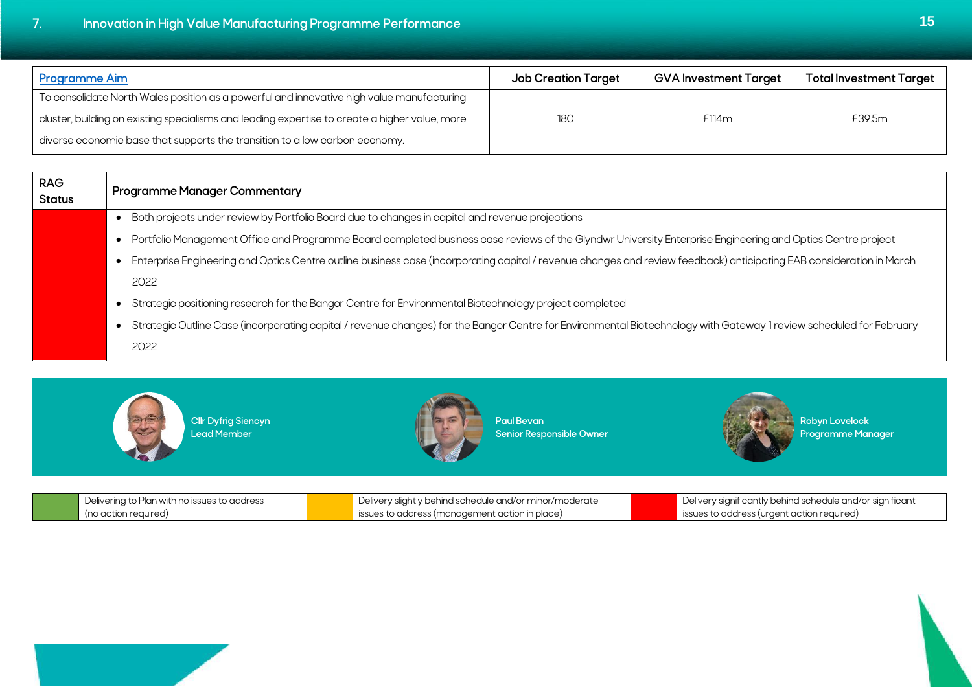<span id="page-18-0"></span>**7. Innovation in High Value Manufacturing Programme Performance 15**

| <b>Programme Aim</b>                                                                           | <b>Job Creation Target</b> | <b>GVA Investment Target</b> | <b>Total Investment Target</b> |
|------------------------------------------------------------------------------------------------|----------------------------|------------------------------|--------------------------------|
| To consolidate North Wales position as a powerful and innovative high value manufacturing      |                            |                              |                                |
| cluster, building on existing specialisms and leading expertise to create a higher value, more | 180                        | £114m                        | £39.5m                         |
| diverse economic base that supports the transition to a low carbon economy.                    |                            |                              |                                |

| <b>RAG</b><br>Status | <b>Programme Manager Commentary</b>                                                                                                                                  |
|----------------------|----------------------------------------------------------------------------------------------------------------------------------------------------------------------|
|                      | Both projects under review by Portfolio Board due to changes in capital and revenue projections                                                                      |
|                      | Portfolio Management Office and Programme Board completed business case reviews of the Glyndwr University Enterprise Engineering and Optics Centre project           |
|                      | Enterprise Engineering and Optics Centre outline business case (incorporating capital / revenue changes and review feedback) anticipating EAB consideration in March |
|                      | 2022                                                                                                                                                                 |
|                      | Strategic positioning research for the Bangor Centre for Environmental Biotechnology project completed                                                               |
|                      | Strategic Outline Case (incorporating capital / revenue changes) for the Bangor Centre for Environmental Biotechnology with Gateway 1 review scheduled for February  |
|                      | 2022                                                                                                                                                                 |



**Cllr Dyfrig Siencyn Lead Member**



**Paul Bevan Senior Responsible Owner**



**Robyn Lovelock Programme Manager**

| $\blacksquare$ Delivering to Plan with no issues to address | Delivery slightly behind schedule and/or minor/moderate       | Uelivery significantly behind schedule and/or significant |
|-------------------------------------------------------------|---------------------------------------------------------------|-----------------------------------------------------------|
| (no action required)                                        | $\blacksquare$ issues to address (management action in place) | ssues to address (urgent action required)                 |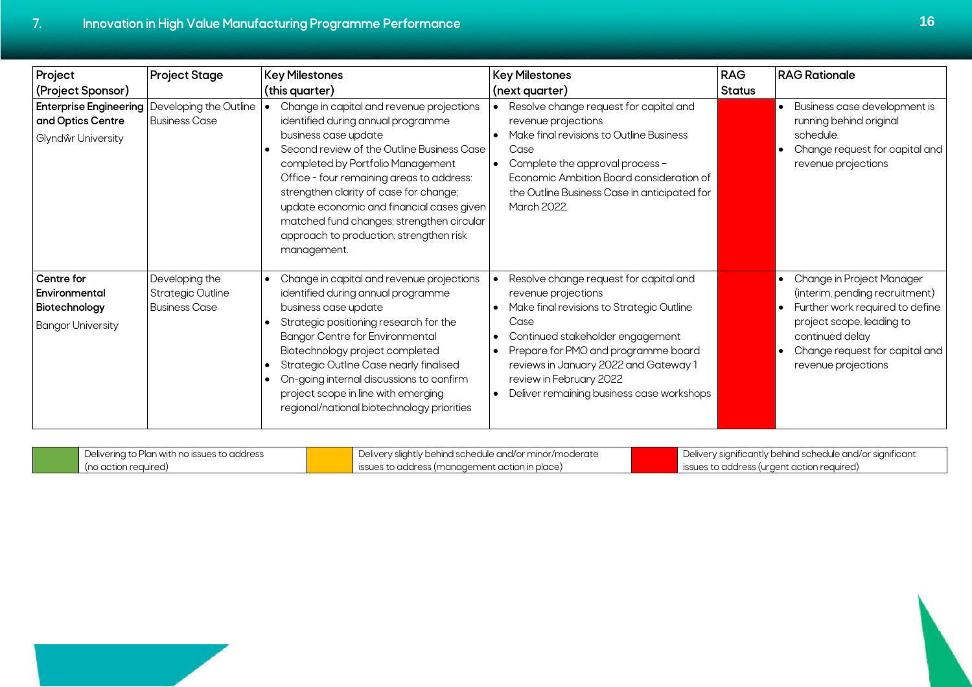| Project                                                                  | <b>Project Stage</b>                                               | <b>Key Milestones</b>                                                                                                                                                                                                                                                                                                                                                                                                                 | <b>Key Milestones</b>                                                                                                                                                                                                                                                                                          | <b>RAG</b>    | <b>RAG Rationale</b>                                                                                                                                                                                                   |
|--------------------------------------------------------------------------|--------------------------------------------------------------------|---------------------------------------------------------------------------------------------------------------------------------------------------------------------------------------------------------------------------------------------------------------------------------------------------------------------------------------------------------------------------------------------------------------------------------------|----------------------------------------------------------------------------------------------------------------------------------------------------------------------------------------------------------------------------------------------------------------------------------------------------------------|---------------|------------------------------------------------------------------------------------------------------------------------------------------------------------------------------------------------------------------------|
| (Project Sponsor)                                                        |                                                                    | (this quarter)                                                                                                                                                                                                                                                                                                                                                                                                                        | (next quarter)                                                                                                                                                                                                                                                                                                 | <b>Status</b> |                                                                                                                                                                                                                        |
| <b>Enterprise Engineering</b><br>and Optics Centre<br>Glyndŵr University | Developing the Outline<br><b>Business Case</b>                     | Change in capital and revenue projections<br>identified during annual programme<br>business case update<br>Second review of the Outline Business Case<br>completed by Portfolio Management<br>Office - four remaining areas to address:<br>strengthen clarity of case for change;<br>update economic and financial cases given<br>matched fund changes; strengthen circular<br>approach to production; strengthen risk<br>management. | Resolve change request for capital and<br>revenue projections<br>Make final revisions to Outline Business<br>Case<br>Complete the approval process -<br>Economic Ambition Board consideration of<br>the Outline Business Case in anticipated for<br>March 2022                                                 |               | • Business case development is<br>running behind original<br>schedule.<br>Change request for capital and<br>revenue projections                                                                                        |
| Centre for<br>Environmental<br>Biotechnology<br><b>Bangor University</b> | Developing the<br><b>Strategic Outline</b><br><b>Business Case</b> | Change in capital and revenue projections<br>$\bullet$<br>identified during annual programme<br>business case update<br>Strategic positioning research for the<br><b>Bangor Centre for Environmental</b><br>Biotechnology project completed<br>Strategic Outline Case nearly finalised<br>On-going internal discussions to confirm<br>project scope in line with emerging<br>regional/national biotechnology priorities               | Resolve change request for capital and<br>revenue projections<br>Make final revisions to Strategic Outline<br>Case<br>Continued stakeholder engagement<br>Prepare for PMO and programme board<br>reviews in January 2022 and Gateway 1<br>review in February 2022<br>Deliver remaining business case workshops |               | • Change in Project Manager<br>(interim, pending recruitment)<br>Further work required to define<br>$\bullet$<br>project scope, leading to<br>continued delay<br>Change request for capital and<br>revenue projections |

| Delivering to Plan with no issues to address | U Delivery slightly behind schedule and/or minor/moderate | Delivery significantly behind schedule and/or significant |
|----------------------------------------------|-----------------------------------------------------------|-----------------------------------------------------------|
| (no action reauired)                         | ssues to address (management action in place)             | sissues to address (urgent action required)               |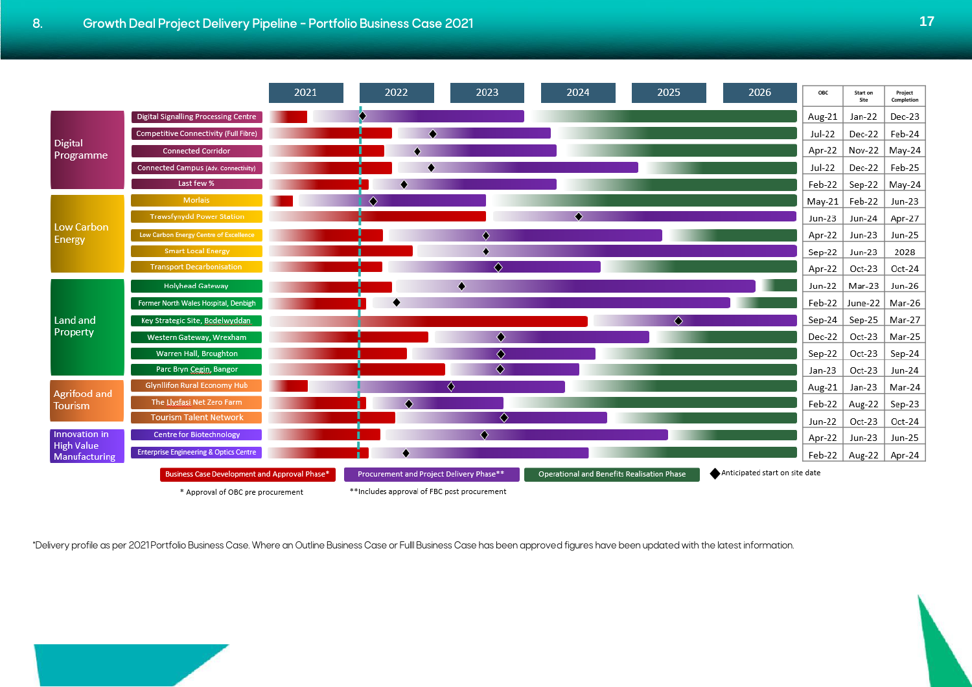<span id="page-20-0"></span>

|                                    |                                                   | 2021 | 2022                                        | 2023 | 2024                                       | 2025 | 2026                           | OBC      | Start on<br>Site | Project<br>Completion |
|------------------------------------|---------------------------------------------------|------|---------------------------------------------|------|--------------------------------------------|------|--------------------------------|----------|------------------|-----------------------|
|                                    | <b>Digital Signalling Processing Centre</b>       |      |                                             |      |                                            |      |                                | Aug-21   | Jan-22           | Dec-23                |
|                                    | Competitive Connectivity (Full Fibre)             |      |                                             |      |                                            |      |                                | Jul-22   | Dec-22           | Feb-24                |
| <b>Digital</b><br>Programme        | <b>Connected Corridor</b>                         |      |                                             |      |                                            |      |                                | Apr-22   | Nov-22           | May-24                |
|                                    | Connected Campus (Adv. Connectivity)              |      |                                             |      |                                            |      |                                | Jul-22   | Dec-22           | Feb-25                |
|                                    | Last few %                                        |      |                                             |      |                                            |      |                                | Feb-22   | Sep-22           | May-24                |
|                                    | <b>Morlais</b>                                    |      | ۵                                           |      |                                            |      |                                | $May-21$ | Feb-22           | Jun-23                |
| <b>Low Carbon</b>                  | <b>Trawsfynydd Power Station</b>                  |      |                                             |      | ۵                                          |      |                                | Jun-23   | Jun-24           | Apr-27                |
| Energy                             | Low Carbon Energy Centre of Excellence            |      |                                             | ٥    |                                            |      |                                | Apr-22   | Jun-23           | Jun-25                |
|                                    | <b>Smart Local Energy</b>                         |      |                                             |      |                                            |      |                                | Sep-22   | Jun-23           | 2028                  |
|                                    | <b>Transport Decarbonisation</b>                  |      |                                             | ◈    |                                            |      |                                | Apr-22   | Oct-23           | Oct-24                |
|                                    | <b>Holyhead Gateway</b>                           |      |                                             |      |                                            |      |                                | Jun-22   | Mar-23           | Jun-26                |
|                                    | Former North Wales Hospital, Denbigh              |      |                                             |      |                                            |      |                                | Feb-22   | June-22          | Mar-26                |
| Land and                           | Key Strategic Site, Bodelwyddan                   |      |                                             |      |                                            |      |                                | Sep-24   | Sep-25           | Mar-27                |
| Property                           | Western Gateway, Wrexham                          |      |                                             | ◈    |                                            |      |                                | Dec-22   | Oct-23           | Mar-25                |
|                                    | Warren Hall, Broughton                            |      |                                             | ♦    |                                            |      |                                | Sep-22   | Oct-23           | Sep-24                |
|                                    | Parc Bryn Cegin, Bangor                           |      |                                             | ۰    |                                            |      |                                | Jan-23   | Oct-23           | Jun-24                |
| Agrifood and                       | <b>Glynllifon Rural Economy Hub</b>               |      |                                             | ◈    |                                            |      |                                | Aug-21   | Jan-23           | Mar-24                |
| Tourism                            | The Llysfasi Net Zero Farm                        |      |                                             |      |                                            |      |                                | Feb-22   | Aug-22           | Sep-23                |
|                                    | <b>Tourism Talent Network</b>                     |      |                                             | ۵    |                                            |      |                                | Jun-22   | Oct-23           | Oct-24                |
| Innovation in<br><b>High Value</b> | <b>Centre for Biotechnology</b>                   |      |                                             | ۰    |                                            |      |                                | Apr-22   | Jun-23           | Jun-25                |
| Manufacturing                      | <b>Enterprise Engineering &amp; Optics Centre</b> |      |                                             |      |                                            |      |                                | Feb-22   | Aug-22           | Apr-24                |
|                                    | Business Case Development and Approval Phase*     |      | Procurement and Project Delivery Phase**    |      | Operational and Benefits Realisation Phase |      | Anticipated start on site date |          |                  |                       |
|                                    | * Approval of OBC pre procurement                 |      | **Includes approval of FBC post procurement |      |                                            |      |                                |          |                  |                       |

\*Delivery profile as per 2021 Portfolio Business Case. Where an Outline Business Case or Fulll Business Case has been approved figures have been updated with the latest information.

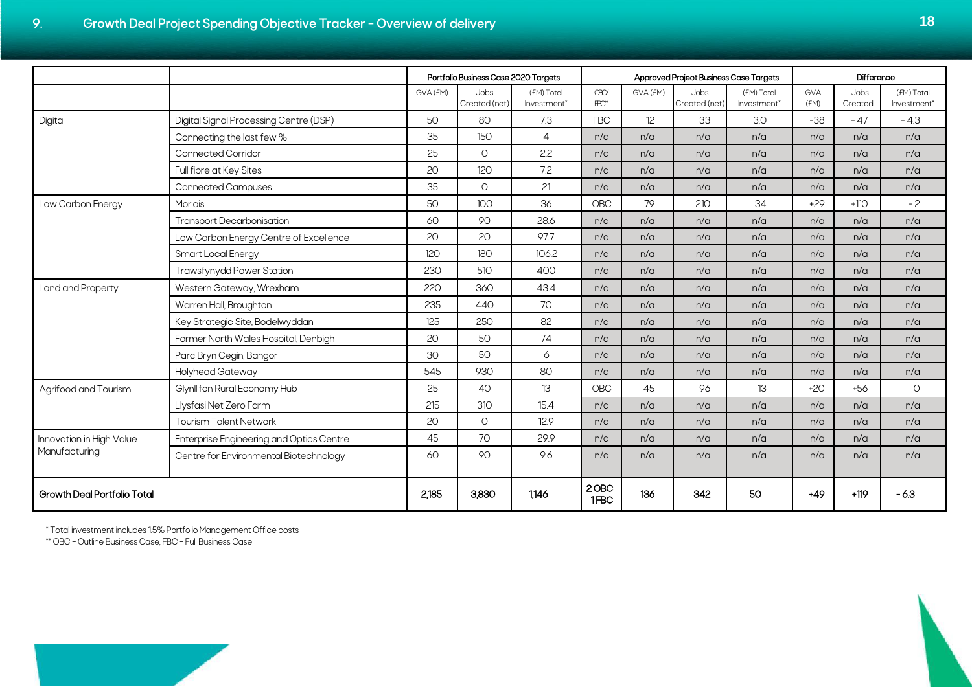<span id="page-21-0"></span>

|                                    |                                          |          | Portfolio Business Case 2020 Targets |                           |                               |          | Approved Project Business Case Targets |                           |             | Difference      |                           |
|------------------------------------|------------------------------------------|----------|--------------------------------------|---------------------------|-------------------------------|----------|----------------------------------------|---------------------------|-------------|-----------------|---------------------------|
|                                    |                                          | GVA (EM) | Jobs<br>Created (net)                | (EM) Total<br>Investment* | <b>CBC/</b><br>$\mathbb{R}^*$ | GVA (EM) | Jobs<br>Created (net)                  | (EM) Total<br>Investment* | GVA<br>(EM) | Jobs<br>Created | (EM) Total<br>Investment* |
| Digital                            | Digital Signal Processing Centre (DSP)   | 50       | 80                                   | 7.3                       | <b>FBC</b>                    | 12       | 33                                     | 3.0                       | $-38$       | $-47$           | $-4.3$                    |
|                                    | Connecting the last few %                | 35       | 150                                  | $\overline{4}$            | n/a                           | n/a      | n/a                                    | n/a                       | n/a         | n/a             | n/a                       |
|                                    | <b>Connected Corridor</b>                | 25       | $\circ$                              | 2.2                       | n/a                           | n/a      | n/a                                    | n/a                       | n/a         | n/a             | n/a                       |
|                                    | Full fibre at Key Sites                  | 20       | 120                                  | 7.2                       | n/a                           | n/a      | n/a                                    | n/a                       | n/a         | n/a             | n/a                       |
|                                    | <b>Connected Campuses</b>                | 35       | O                                    | 21                        | n/a                           | n/a      | n/a                                    | n/a                       | n/a         | n/a             | n/a                       |
| Low Carbon Energy                  | Morlais                                  | 50       | 100                                  | 36                        | OBC                           | 79       | 210                                    | 34                        | $+29$       | $+110$          | $-2$                      |
|                                    | <b>Transport Decarbonisation</b>         | 60       | 90                                   | 28.6                      | n/a                           | n/a      | n/a                                    | n/a                       | n/a         | n/a             | n/a                       |
|                                    | Low Carbon Energy Centre of Excellence   | 20       | 20                                   | 97.7                      | n/a                           | n/a      | n/a                                    | n/a                       | n/a         | n/a             | n/a                       |
|                                    | Smart Local Energy                       | 120      | 180                                  | 106.2                     | n/a                           | n/a      | n/a                                    | n/a                       | n/a         | n/a             | n/a                       |
|                                    | <b>Trawsfynydd Power Station</b>         | 230      | 510                                  | 400                       | n/a                           | n/a      | n/a                                    | n/a                       | n/a         | n/a             | n/a                       |
| Land and Property                  | Western Gateway, Wrexham                 | 220      | 360                                  | 43.4                      | n/a                           | n/a      | n/a                                    | n/a                       | n/a         | n/a             | n/a                       |
|                                    | Warren Hall, Broughton                   | 235      | 440                                  | 70                        | n/a                           | n/a      | n/a                                    | n/a                       | n/a         | n/a             | n/a                       |
|                                    | Key Strategic Site, Bodelwyddan          | 125      | 250                                  | 82                        | n/a                           | n/a      | n/a                                    | n/a                       | n/a         | n/a             | n/a                       |
|                                    | Former North Wales Hospital, Denbigh     | 20       | 50 <sub>2</sub>                      | 74                        | n/a                           | n/a      | n/a                                    | n/a                       | n/a         | n/a             | n/a                       |
|                                    | Parc Bryn Cegin, Bangor                  | 30       | 50                                   | 6                         | n/a                           | n/a      | n/a                                    | n/a                       | n/a         | n/a             | n/a                       |
|                                    | Holyhead Gateway                         | 545      | 930                                  | 80                        | n/a                           | n/a      | n/a                                    | n/a                       | n/a         | n/a             | n/a                       |
| Agrifood and Tourism               | Glynllifon Rural Economy Hub             | 25       | 40                                   | 13                        | <b>OBC</b>                    | 45       | 96                                     | 13                        | $+20$       | $+56$           | $\circ$                   |
|                                    | Llysfasi Net Zero Farm                   | 215      | 310                                  | 15.4                      | n/a                           | n/a      | n/a                                    | n/a                       | n/a         | n/a             | n/a                       |
|                                    | <b>Tourism Talent Network</b>            | 20       | $\circ$                              | 12.9                      | n/a                           | n/a      | n/a                                    | n/a                       | n/a         | n/a             | n/a                       |
| Innovation in High Value           | Enterprise Engineering and Optics Centre | 45       | 70                                   | 29.9                      | n/a                           | n/a      | n/a                                    | n/a                       | n/a         | n/a             | n/a                       |
| Manufacturing                      | Centre for Environmental Biotechnology   | 60       | 90                                   | 9.6                       | n/a                           | n/a      | n/a                                    | n/a                       | n/a         | n/a             | n/a                       |
| <b>Growth Deal Portfolio Total</b> |                                          | 2,185    | 3,830                                | 1146                      | 2 OBC<br>1FBC                 | 136      | 342                                    | 50                        | $+49$       | $+119$          | $-6.3$                    |

\* Total investment includes 1.5% Portfolio Management Office costs

\*\* OBC – Outline Business Case, FBC – Full Business Case

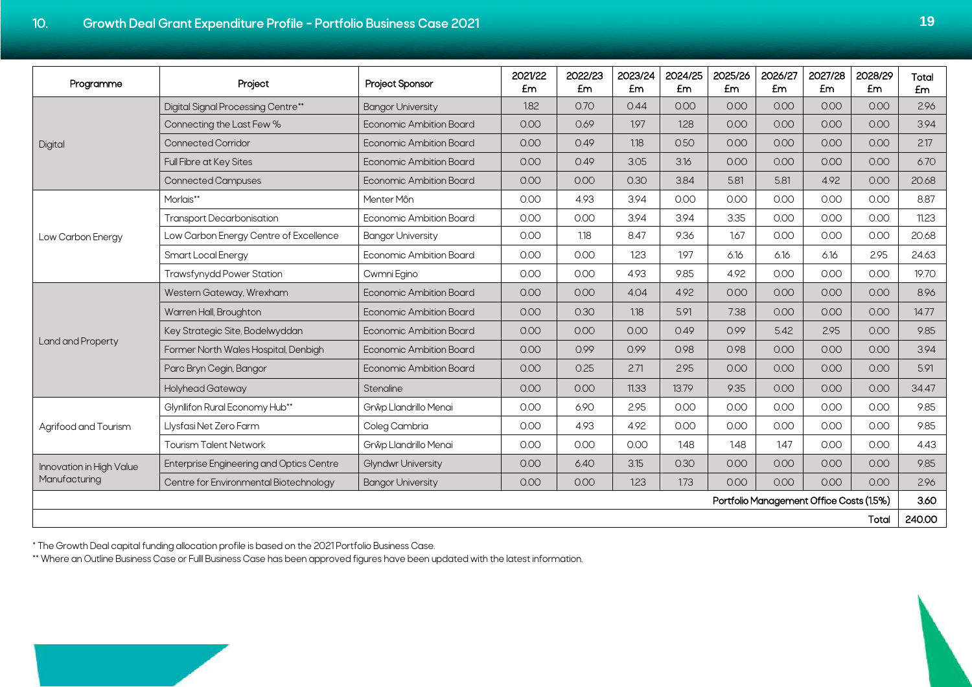<span id="page-22-0"></span>

| Programme                | Project                                  | Project Sponsor                | 2021/22<br>£m | 2022/23<br><b>Em</b> | 2023/24<br>£m | 2024/25<br>£m | 2025/26<br>£m | 2026/27<br>Em | 2027/28<br>£m                            | 2028/29<br>£m | Total<br>£m |
|--------------------------|------------------------------------------|--------------------------------|---------------|----------------------|---------------|---------------|---------------|---------------|------------------------------------------|---------------|-------------|
|                          | Digital Signal Processing Centre**       | <b>Bangor University</b>       | 1.82          | 0.70                 | 0.44          | 0.00          | 0.00          | 0.00          | 0.00                                     | 0.00          | 2.96        |
|                          | Connecting the Last Few %                | <b>Economic Ambition Board</b> | 0.00          | 0.69                 | 1.97          | 1.28          | O.OO          | 0.00          | 0.00                                     | 0.00          | 3.94        |
| Digital                  | <b>Connected Corridor</b>                | <b>Economic Ambition Board</b> | 0.00          | 0.49                 | 1.18          | 0.50          | O.OO          | 0.00          | 0.00                                     | 0.00          | 2.17        |
|                          | Full Fibre at Key Sites                  | Economic Ambition Board        | 0.00          | 0.49                 | 3.05          | 3.16          | 0.00          | 0.00          | 0.00                                     | 0.00          | 6.70        |
|                          | <b>Connected Campuses</b>                | Economic Ambition Board        | 0.00          | 0.00                 | 0.30          | 3.84          | 5.81          | 5.81          | 4.92                                     | 0.00          | 20.68       |
|                          | Morlais**                                | Menter Môn                     | 0.00          | 4.93                 | 3.94          | 0.00          | 0.00          | 0.00          | 0.00                                     | 0.00          | 8.87        |
|                          | <b>Transport Decarbonisation</b>         | <b>Economic Ambition Board</b> | 0.00          | 0.00                 | 3.94          | 3.94          | 3.35          | 0.00          | 0.00                                     | 0.00          | 11.23       |
| Low Carbon Energy        | Low Carbon Energy Centre of Excellence   | <b>Bangor University</b>       | 0.00          | 1.18                 | 8.47          | 9.36          | 1.67          | 0.00          | 0.00                                     | 0.00          | 20.68       |
|                          | Smart Local Energy                       | Economic Ambition Board        | 0.00          | 0.00                 | 1.23          | 1.97          | 6.16          | 6.16          | 6.16                                     | 2.95          | 24.63       |
|                          | Trawsfynydd Power Station                | Cwmni Egino                    | 0.00          | 0.00                 | 4.93          | 9.85          | 4.92          | 0.00          | 0.00                                     | 0.00          | 19.70       |
|                          | Western Gateway, Wrexham                 | <b>Economic Ambition Board</b> | 0.00          | 0.00                 | 4.04          | 4.92          | O.OO          | 0.00          | 0.00                                     | 0.00          | 8.96        |
|                          | Warren Hall, Broughton                   | Economic Ambition Board        | 0.00          | 0.30                 | 1.18          | 5.91          | 7.38          | 0.00          | 0.00                                     | 0.00          | 14.77       |
|                          | Key Strategic Site, Bodelwyddan          | Economic Ambition Board        | 0.00          | 0.00                 | 0.00          | 0.49          | 0.99          | 5.42          | 2.95                                     | 0.00          | 9.85        |
| Land and Property        | Former North Wales Hospital, Denbigh     | Economic Ambition Board        | 0.00          | 0.99                 | 0.99          | 0.98          | 0.98          | 0.00          | 0.00                                     | 0.00          | 3.94        |
|                          | Parc Bryn Cegin, Bangor                  | <b>Economic Ambition Board</b> | 0.00          | 0.25                 | 2.71          | 2.95          | 0.00          | 0.00          | 0.00                                     | 0.00          | 5.91        |
|                          | <b>Holyhead Gateway</b>                  | Stenaline                      | 0.00          | 0.00                 | 11.33         | 13.79         | 9.35          | 0.00          | 0.00                                     | 0.00          | 34.47       |
|                          | Glynllifon Rural Economy Hub**           | Grŵp Llandrillo Menai          | 0.00          | 6.90                 | 2.95          | 0.00          | O.OO          | 0.00          | 0.00                                     | 0.00          | 9.85        |
| Agrifood and Tourism     | Llysfasi Net Zero Farm                   | Coleg Cambria                  | 0.00          | 4.93                 | 4.92          | 0.00          | 0.00          | 0.00          | 0.00                                     | 0.00          | 9.85        |
|                          | <b>Tourism Talent Network</b>            | Grŵp Llandrillo Menai          | 0.00          | 0.00                 | 0.00          | 148           | 1.48          | 147           | 0.00                                     | 0.00          | 4.43        |
| Innovation in High Value | Enterprise Engineering and Optics Centre | <b>Glyndwr University</b>      | 0.00          | 6.40                 | 3.15          | 0.30          | O.OO          | 0.00          | 0.00                                     | 0.00          | 9.85        |
| Manufacturing            | Centre for Environmental Biotechnology   | <b>Bangor University</b>       | 0.00          | 0.00                 | 1.23          | 1.73          | 0.00          | 0.00          | 0.00                                     | 0.00          | 2.96        |
|                          |                                          |                                |               |                      |               |               |               |               | Portfolio Management Office Costs (1.5%) |               | 3.60        |
|                          |                                          |                                |               |                      |               |               |               |               |                                          | Total         | 240.00      |

\* The Growth Deal capital funding allocation profile is based on the 2021 Portfolio Business Case.

\*\* Where an Outline Business Case or Fulll Business Case has been approved figures have been updated with the latest information.

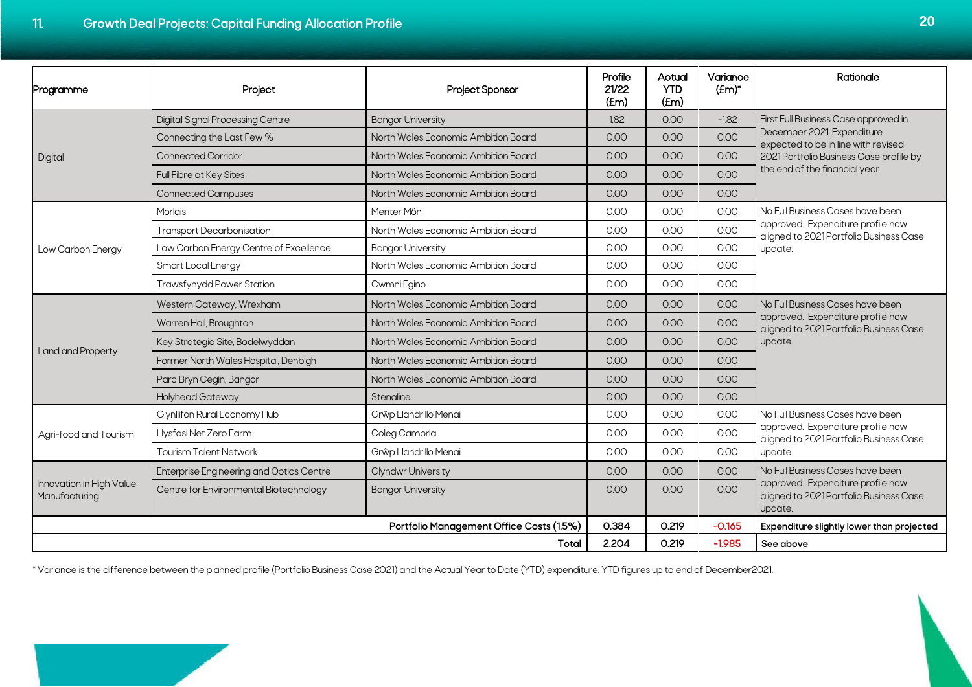| Programme                                 | Project                                         | Project Sponsor                     | Profile<br>21/22<br>(Fm) | Actual<br><b>YTD</b><br>$f_{\text{E}}$    | Variance<br>$f_{\text{Em}}$ | Rationale                                                                                                                                                                              |  |
|-------------------------------------------|-------------------------------------------------|-------------------------------------|--------------------------|-------------------------------------------|-----------------------------|----------------------------------------------------------------------------------------------------------------------------------------------------------------------------------------|--|
|                                           | <b>Digital Signal Processing Centre</b>         | <b>Bangor University</b>            | 1.82                     | 0.00                                      | $-1.82$                     | First Full Business Case approved in<br>December 2021. Expenditure<br>expected to be in line with revised<br>2021 Portfolio Business Case profile by<br>the end of the financial year. |  |
|                                           | Connecting the Last Few %                       | North Wales Economic Ambition Board | 0.00                     | 0.00                                      | 0.00                        |                                                                                                                                                                                        |  |
| Digital                                   | <b>Connected Corridor</b>                       | North Wales Economic Ambition Board | 0.00                     | 0.00                                      | 0.00                        |                                                                                                                                                                                        |  |
|                                           | Full Fibre at Key Sites                         | North Wales Economic Ambition Board | 0.00                     | 0.00                                      | 0.00                        |                                                                                                                                                                                        |  |
|                                           | <b>Connected Campuses</b>                       | North Wales Economic Ambition Board | 0.00                     | 0.00                                      | 0.00                        |                                                                                                                                                                                        |  |
|                                           | <b>Morlais</b>                                  | Menter Môn                          | 0.00                     | 0.00                                      | 0.00                        | No Full Business Cases have been<br>approved. Expenditure profile now<br>aligned to 2021 Portfolio Business Case<br>update.                                                            |  |
|                                           | <b>Transport Decarbonisation</b>                | North Wales Economic Ambition Board | 0.00                     | 0.00                                      | 0.00                        |                                                                                                                                                                                        |  |
| Low Carbon Energy                         | Low Carbon Energy Centre of Excellence          | <b>Bangor University</b>            | 0.00                     | 0.00                                      | 0.00                        |                                                                                                                                                                                        |  |
|                                           | Smart Local Energy                              | North Wales Economic Ambition Board | 0.00                     | 0.00                                      | 0.00                        |                                                                                                                                                                                        |  |
|                                           | <b>Trawsfynydd Power Station</b>                | Cwmni Egino                         | 0.00                     | 0.00                                      | 0.00                        |                                                                                                                                                                                        |  |
| Land and Property                         | Western Gateway, Wrexham                        | North Wales Economic Ambition Board | 0.00                     | 0.00                                      | 0.00                        | No Full Business Cases have been                                                                                                                                                       |  |
|                                           | Warren Hall, Broughton                          | North Wales Economic Ambition Board | 0.00                     | 0.00                                      | 0.00                        | approved. Expenditure profile now<br>aligned to 2021 Portfolio Business Case<br>update.                                                                                                |  |
|                                           | Key Strategic Site, Bodelwyddan                 | North Wales Economic Ambition Board | 0.00                     | 0.00                                      | 0.00                        |                                                                                                                                                                                        |  |
|                                           | Former North Wales Hospital, Denbigh            | North Wales Economic Ambition Board | 0.00                     | 0.00                                      | 0.00                        |                                                                                                                                                                                        |  |
|                                           | Parc Bryn Cegin, Bangor                         | North Wales Economic Ambition Board | 0.00                     | 0.00                                      | 0.00                        |                                                                                                                                                                                        |  |
|                                           | <b>Holyhead Gateway</b>                         | Stenaline                           | 0.00                     | 0.00                                      | 0.00                        |                                                                                                                                                                                        |  |
| Agri-food and Tourism                     | Glynllifon Rural Economy Hub                    | Grŵp Llandrillo Menai               | 0.00                     | 0.00                                      | 0.00                        | No Full Business Cases have been<br>approved. Expenditure profile now<br>aligned to 2021 Portfolio Business Case<br>update.                                                            |  |
|                                           | Llysfasi Net Zero Farm                          | Coleg Cambria                       | 0.00                     | 0.00                                      | 0.00                        |                                                                                                                                                                                        |  |
|                                           | <b>Tourism Talent Network</b>                   | Grŵp Llandrillo Menai               | 0.00                     | 0.00                                      | 0.00                        |                                                                                                                                                                                        |  |
| Innovation in High Value<br>Manufacturing | <b>Enterprise Engineering and Optics Centre</b> | <b>Glyndwr University</b>           | 0.00                     | 0.00                                      | 0.00                        | No Full Business Cases have been<br>approved. Expenditure profile now<br>aligned to 2021 Portfolio Business Case<br>update.                                                            |  |
|                                           | Centre for Environmental Biotechnology          | <b>Bangor University</b>            | 0.00                     | 0.00                                      | 0.00                        |                                                                                                                                                                                        |  |
|                                           | 0.384                                           | 0.219                               | $-0.165$                 | Expenditure slightly lower than projected |                             |                                                                                                                                                                                        |  |
|                                           | 2.204                                           | 0.219                               | $-1.985$                 | See above                                 |                             |                                                                                                                                                                                        |  |

\* Variance is the difference between the planned profile (Portfolio Business Case 2021) and the Actual Year to Date (YTD) expenditure. YTD figures up to end of December2021.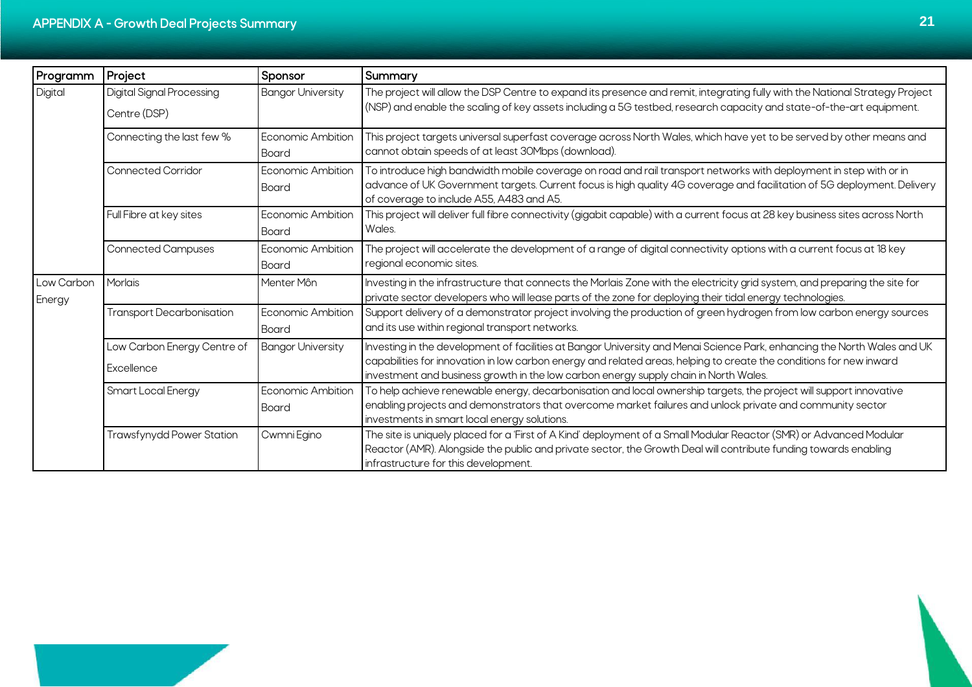<span id="page-24-0"></span>

| Programm             | Project                          | Sponsor                           | Summary                                                                                                                                                                                                                                                                                   |  |
|----------------------|----------------------------------|-----------------------------------|-------------------------------------------------------------------------------------------------------------------------------------------------------------------------------------------------------------------------------------------------------------------------------------------|--|
| Digital              | <b>Digital Signal Processing</b> | <b>Bangor University</b>          | The project will allow the DSP Centre to expand its presence and remit, integrating fully with the National Strategy Project                                                                                                                                                              |  |
|                      | Centre (DSP)                     |                                   | (NSP) and enable the scaling of key assets including a 5G testbed, research capacity and state-of-the-art equipment.                                                                                                                                                                      |  |
|                      | Connecting the last few %        | <b>Economic Ambition</b><br>Board | This project targets universal superfast coverage across North Wales, which have yet to be served by other means and<br>cannot obtain speeds of at least 30Mbps (download).                                                                                                               |  |
|                      | <b>Connected Corridor</b>        | Economic Ambition<br>Board        | To introduce high bandwidth mobile coverage on road and rail transport networks with deployment in step with or in<br>advance of UK Government targets. Current focus is high quality 4G coverage and facilitation of 5G deployment. Delivery<br>of coverage to include A55, A483 and A5. |  |
|                      | Full Fibre at key sites          | <b>Economic Ambition</b><br>Board | This project will deliver full fibre connectivity (gigabit capable) with a current focus at 28 key business sites across North<br>Wales.                                                                                                                                                  |  |
|                      | <b>Connected Campuses</b>        | Economic Ambition<br>Board        | The project will accelerate the development of a range of digital connectivity options with a current focus at 18 key<br>regional economic sites.                                                                                                                                         |  |
| Low Carbon<br>Energy | Morlais                          | Menter Môn                        | Investing in the infrastructure that connects the Morlais Zone with the electricity grid system, and preparing the site for<br>private sector developers who will lease parts of the zone for deploying their tidal energy technologies.                                                  |  |
|                      | <b>Transport Decarbonisation</b> | <b>Economic Ambition</b><br>Board | Support delivery of a demonstrator project involving the production of green hydrogen from low carbon energy sources<br>and its use within regional transport networks.                                                                                                                   |  |
|                      | Low Carbon Energy Centre of      | <b>Bangor University</b>          | Investing in the development of facilities at Bangor University and Menai Science Park, enhancing the North Wales and UK                                                                                                                                                                  |  |
|                      | Excellence                       |                                   | capabilities for innovation in low carbon energy and related areas, helping to create the conditions for new inward<br>investment and business growth in the low carbon energy supply chain in North Wales.                                                                               |  |
|                      | Smart Local Energy               | <b>Economic Ambition</b>          | To help achieve renewable energy, decarbonisation and local ownership targets, the project will support innovative                                                                                                                                                                        |  |
|                      |                                  | <b>Board</b>                      | enabling projects and demonstrators that overcome market failures and unlock private and community sector<br>investments in smart local energy solutions.                                                                                                                                 |  |
|                      | <b>Trawsfynydd Power Station</b> | Cwmni Egino                       | The site is uniquely placed for a 'First of A Kind' deployment of a Small Modular Reactor (SMR) or Advanced Modular<br>Reactor (AMR). Alongside the public and private sector, the Growth Deal will contribute funding towards enabling<br>infrastructure for this development.           |  |